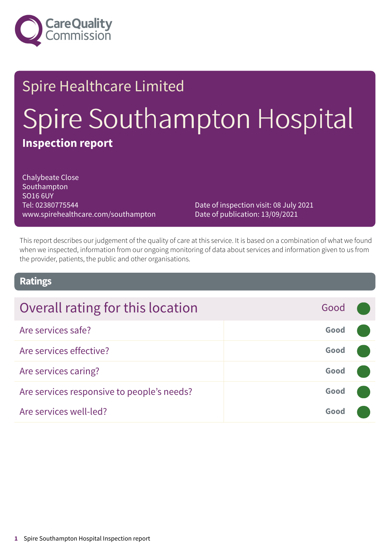

# Spire Healthcare Limited Spire Southampton Hospital **Inspection report**

Chalybeate Close Southampton SO16 6UY Tel: 02380775544 www.spirehealthcare.com/southampton

Date of inspection visit: 08 July 2021 Date of publication: 13/09/2021

This report describes our judgement of the quality of care at this service. It is based on a combination of what we found when we inspected, information from our ongoing monitoring of data about services and information given to us from the provider, patients, the public and other organisations.

### **Ratings**

| Overall rating for this location           | Good |  |
|--------------------------------------------|------|--|
| Are services safe?                         | Good |  |
| Are services effective?                    | Good |  |
| Are services caring?                       | Good |  |
| Are services responsive to people's needs? | Good |  |
| Are services well-led?                     | Good |  |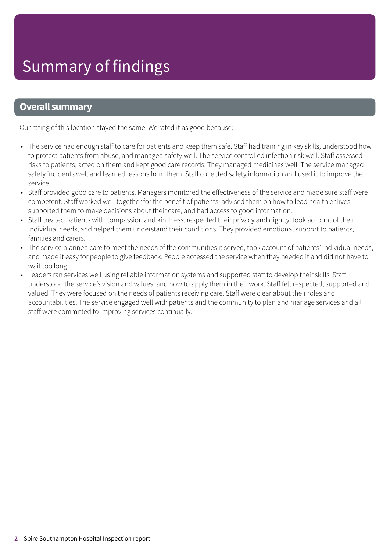### **Overall summary**

Our rating of this location stayed the same. We rated it as good because:

- The service had enough staff to care for patients and keep them safe. Staff had training in key skills, understood how to protect patients from abuse, and managed safety well. The service controlled infection risk well. Staff assessed risks to patients, acted on them and kept good care records. They managed medicines well. The service managed safety incidents well and learned lessons from them. Staff collected safety information and used it to improve the service.
- Staff provided good care to patients. Managers monitored the effectiveness of the service and made sure staff were competent. Staff worked well together for the benefit of patients, advised them on how to lead healthier lives, supported them to make decisions about their care, and had access to good information.
- Staff treated patients with compassion and kindness, respected their privacy and dignity, took account of their individual needs, and helped them understand their conditions. They provided emotional support to patients, families and carers.
- The service planned care to meet the needs of the communities it served, took account of patients' individual needs, and made it easy for people to give feedback. People accessed the service when they needed it and did not have to wait too long.
- Leaders ran services well using reliable information systems and supported staff to develop their skills. Staff understood the service's vision and values, and how to apply them in their work. Staff felt respected, supported and valued. They were focused on the needs of patients receiving care. Staff were clear about their roles and accountabilities. The service engaged well with patients and the community to plan and manage services and all staff were committed to improving services continually.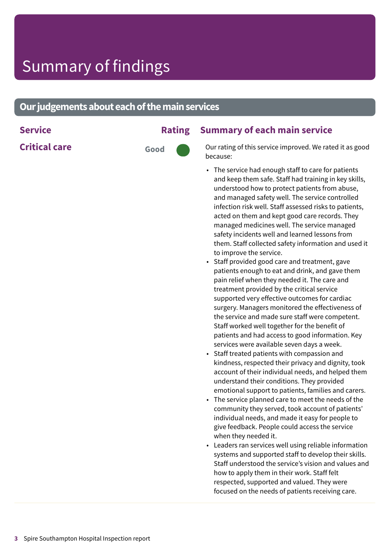### **Our judgements about each of the main services**

**Critical care 6000** 

### **Service Rating Summary of each main service**

Our rating of this service improved. We rated it as good because:

- The service had enough staff to care for patients and keep them safe. Staff had training in key skills, understood how to protect patients from abuse, and managed safety well. The service controlled infection risk well. Staff assessed risks to patients, acted on them and kept good care records. They managed medicines well. The service managed safety incidents well and learned lessons from them. Staff collected safety information and used it to improve the service.
- Staff provided good care and treatment, gave patients enough to eat and drink, and gave them pain relief when they needed it. The care and treatment provided by the critical service supported very effective outcomes for cardiac surgery. Managers monitored the effectiveness of the service and made sure staff were competent. Staff worked well together for the benefit of patients and had access to good information. Key services were available seven days a week.
- Staff treated patients with compassion and kindness, respected their privacy and dignity, took account of their individual needs, and helped them understand their conditions. They provided emotional support to patients, families and carers.
- The service planned care to meet the needs of the community they served, took account of patients' individual needs, and made it easy for people to give feedback. People could access the service when they needed it.
- Leaders ran services well using reliable information systems and supported staff to develop their skills. Staff understood the service's vision and values and how to apply them in their work. Staff felt respected, supported and valued. They were focused on the needs of patients receiving care.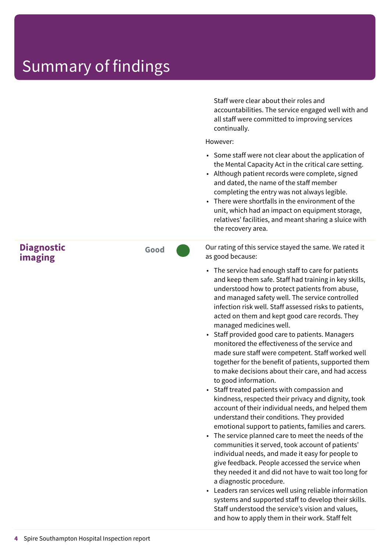### Summary of findings

Staff were clear about their roles and accountabilities. The service engaged well with and all staff were committed to improving services continually.

However:

- Some staff were not clear about the application of the Mental Capacity Act in the critical care setting.
- Although patient records were complete, signed and dated, the name of the staff member completing the entry was not always legible.
- There were shortfalls in the environment of the unit, which had an impact on equipment storage, relatives' facilities, and meant sharing a sluice with the recovery area.

**Diagnostic imaging**

**Good –––**

Our rating of this service stayed the same. We rated it as good because:

- The service had enough staff to care for patients and keep them safe. Staff had training in key skills, understood how to protect patients from abuse, and managed safety well. The service controlled infection risk well. Staff assessed risks to patients, acted on them and kept good care records. They managed medicines well.
- Staff provided good care to patients. Managers monitored the effectiveness of the service and made sure staff were competent. Staff worked well together for the benefit of patients, supported them to make decisions about their care, and had access to good information.
- Staff treated patients with compassion and kindness, respected their privacy and dignity, took account of their individual needs, and helped them understand their conditions. They provided emotional support to patients, families and carers.
- The service planned care to meet the needs of the communities it served, took account of patients' individual needs, and made it easy for people to give feedback. People accessed the service when they needed it and did not have to wait too long for a diagnostic procedure.
- Leaders ran services well using reliable information systems and supported staff to develop their skills. Staff understood the service's vision and values, and how to apply them in their work. Staff felt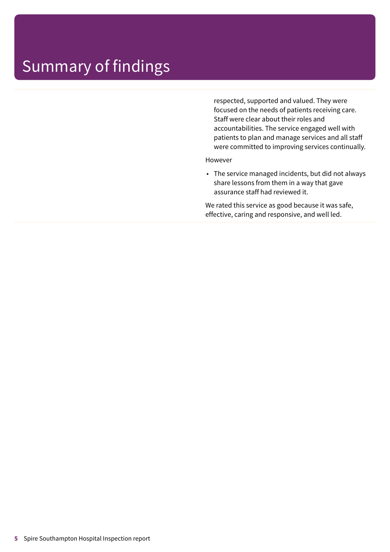### Summary of findings

respected, supported and valued. They were focused on the needs of patients receiving care. Staff were clear about their roles and accountabilities. The service engaged well with patients to plan and manage services and all staff were committed to improving services continually.

However

• The service managed incidents, but did not always share lessons from them in a way that gave assurance staff had reviewed it.

We rated this service as good because it was safe, effective, caring and responsive, and well led.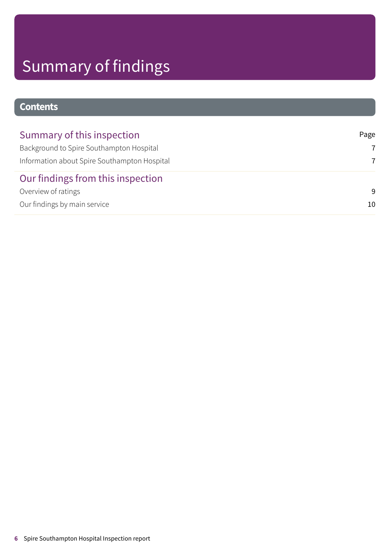# Summary of findings

### **Contents**

| Summary of this inspection                   | Page           |
|----------------------------------------------|----------------|
| Background to Spire Southampton Hospital     | $\overline{7}$ |
| Information about Spire Southampton Hospital | 7              |
| Our findings from this inspection            |                |
| Overview of ratings                          | -9             |
| Our findings by main service                 | 10             |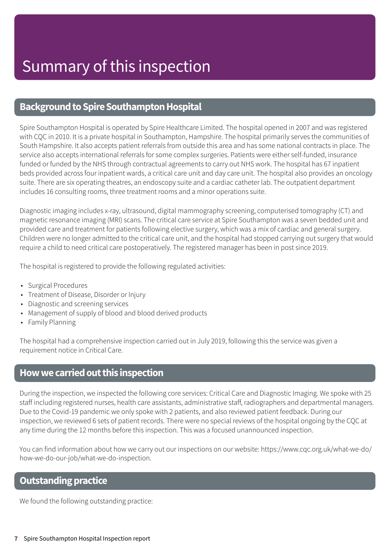### <span id="page-6-0"></span>**Background to Spire Southampton Hospital**

Spire Southampton Hospital is operated by Spire Healthcare Limited. The hospital opened in 2007 and was registered with CQC in 2010. It is a private hospital in Southampton, Hampshire. The hospital primarily serves the communities of South Hampshire. It also accepts patient referrals from outside this area and has some national contracts in place. The service also accepts international referrals for some complex surgeries. Patients were either self-funded, insurance funded or funded by the NHS through contractual agreements to carry out NHS work. The hospital has 67 inpatient beds provided across four inpatient wards, a critical care unit and day care unit. The hospital also provides an oncology suite. There are six operating theatres, an endoscopy suite and a cardiac catheter lab. The outpatient department includes 16 consulting rooms, three treatment rooms and a minor operations suite.

Diagnostic imaging includes x-ray, ultrasound, digital mammography screening, computerised tomography (CT) and magnetic resonance imaging (MRI) scans. The critical care service at Spire Southampton was a seven bedded unit and provided care and treatment for patients following elective surgery, which was a mix of cardiac and general surgery. Children were no longer admitted to the critical care unit, and the hospital had stopped carrying out surgery that would require a child to need critical care postoperatively. The registered manager has been in post since 2019.

The hospital is registered to provide the following regulated activities:

- Surgical Procedures
- Treatment of Disease, Disorder or Injury
- Diagnostic and screening services
- Management of supply of blood and blood derived products
- Family Planning

The hospital had a comprehensive inspection carried out in July 2019, following this the service was given a requirement notice in Critical Care.

### <span id="page-6-1"></span>**Howwecarriedoutthis inspection**

During the inspection, we inspected the following core services: Critical Care and Diagnostic Imaging. We spoke with 25 staff including registered nurses, health care assistants, administrative staff, radiographers and departmental managers. Due to the Covid-19 pandemic we only spoke with 2 patients, and also reviewed patient feedback. During our inspection, we reviewed 6 sets of patient records. There were no special reviews of the hospital ongoing by the CQC at any time during the 12 months before this inspection. This was a focused unannounced inspection.

You can find information about how we carry out our inspections on our website: https://www.cqc.org.uk/what-we-do/ how-we-do-our-job/what-we-do-inspection.

### **Outstanding practice**

We found the following outstanding practice: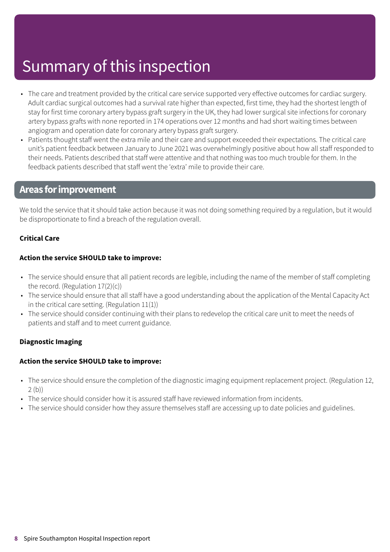## Summary of this inspection

- The care and treatment provided by the critical care service supported very effective outcomes for cardiac surgery. Adult cardiac surgical outcomes had a survival rate higher than expected, first time, they had the shortest length of stay for first time coronary artery bypass graft surgery in the UK, they had lower surgical site infections for coronary artery bypass grafts with none reported in 174 operations over 12 months and had short waiting times between angiogram and operation date for coronary artery bypass graft surgery.
- Patients thought staff went the extra mile and their care and support exceeded their expectations. The critical care unit's patient feedback between January to June 2021 was overwhelmingly positive about how all staff responded to their needs. Patients described that staff were attentive and that nothing was too much trouble for them. In the feedback patients described that staff went the 'extra' mile to provide their care.

### **Areas forimprovement**

We told the service that it should take action because it was not doing something required by a regulation, but it would be disproportionate to find a breach of the regulation overall.

#### **Critical Care**

#### **Action the service SHOULD take to improve:**

- The service should ensure that all patient records are legible, including the name of the member of staff completing the record. (Regulation 17(2)(c))
- The service should ensure that all staff have a good understanding about the application of the Mental Capacity Act in the critical care setting. (Regulation 11(1))
- The service should consider continuing with their plans to redevelop the critical care unit to meet the needs of patients and staff and to meet current guidance.

#### **Diagnostic Imaging**

#### **Action the service SHOULD take to improve:**

- The service should ensure the completion of the diagnostic imaging equipment replacement project. (Regulation 12, 2 (b))
- The service should consider how it is assured staff have reviewed information from incidents.
- The service should consider how they assure themselves staff are accessing up to date policies and guidelines.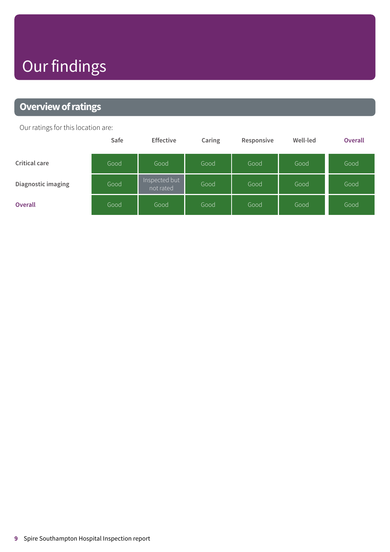# Our findings

### <span id="page-8-0"></span>**Overview of ratings**

Our ratings for this location are:

|                      | Safe | <b>Effective</b>           | Caring | Responsive | Well-led | Overall |
|----------------------|------|----------------------------|--------|------------|----------|---------|
| <b>Critical care</b> | Good | Good                       | Good   | Good       | Good     | Good    |
| Diagnostic imaging   | Good | Inspected but<br>not rated | Good   | Good       | Good     | Good    |
| <b>Overall</b>       | Good | Good                       | Good   | Good       | Good     | Good    |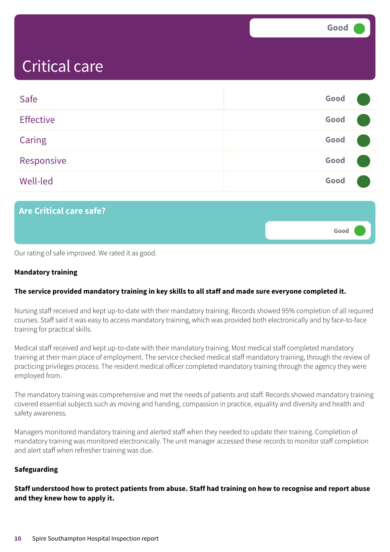**Good –––**

### <span id="page-9-0"></span>Critical care

| Safe             | Good |  |
|------------------|------|--|
| <b>Effective</b> | Good |  |
| <b>Caring</b>    | Good |  |
| Responsive       | Good |  |
| <b>Well-led</b>  | Good |  |

### **Are Critical care safe?**

Our rating of safe improved. We rated it as good.

#### **Mandatory training**

#### **The service provided mandatory training in key skills to all staff and made sure everyone completed it.**

Nursing staff received and kept up-to-date with their mandatory training. Records showed 95% completion of all required courses. Staff said it was easy to access mandatory training, which was provided both electronically and by face-to-face training for practical skills.

Medical staff received and kept up-to-date with their mandatory training. Most medical staff completed mandatory training at their main place of employment. The service checked medical staff mandatory training, through the review of practicing privileges process. The resident medical officer completed mandatory training through the agency they were employed from.

The mandatory training was comprehensive and met the needs of patients and staff. Records showed mandatory training covered essential subjects such as moving and handing, compassion in practice, equality and diversity and health and safety awareness.

Managers monitored mandatory training and alerted staff when they needed to update their training. Completion of mandatory training was monitored electronically. The unit manager accessed these records to monitor staff completion and alert staff when refresher training was due.

#### **Safeguarding**

Staff understood how to protect patients from abuse. Staff had training on how to recognise and report abuse **and they knew how to apply it.**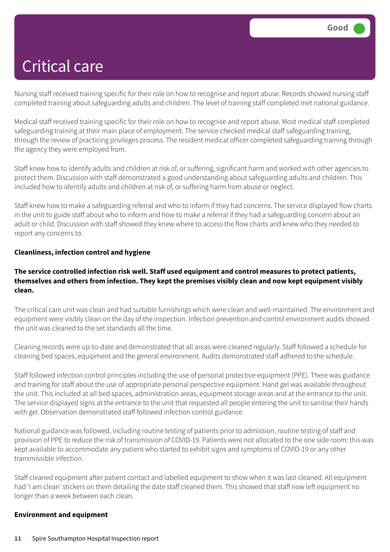Nursing staff received training specific for their role on how to recognise and report abuse. Records showed nursing staff completed training about safeguarding adults and children. The level of training staff completed met national guidance.

Medical staff received training specific for their role on how to recognise and report abuse. Most medical staff completed safeguarding training at their main place of employment. The service checked medical staff safeguarding training, through the review of practicing privileges process. The resident medical officer completed safeguarding training through the agency they were employed from.

Staff knew how to identify adults and children at risk of, or suffering, significant harm and worked with other agencies to protect them. Discussion with staff demonstrated a good understanding about safeguarding adults and children. This included how to identify adults and children at risk of, or suffering harm from abuse or neglect.

Staff knew how to make a safeguarding referral and who to inform if they had concerns. The service displayed flow charts in the unit to guide staff about who to inform and how to make a referral if they had a safeguarding concern about an adult or child. Discussion with staff showed they knew where to access the flow charts and knew who they needed to report any concerns to.

#### **Cleanliness, infection control and hygiene**

#### **The service controlled infection risk well. Staff used equipment and control measures to protect patients, themselves and others from infection. They kept the premises visibly clean and now kept equipment visibly clean.**

The critical care unit was clean and had suitable furnishings which were clean and well-maintained. The environment and equipment were visibly clean on the day of the inspection. Infection prevention and control environment audits showed the unit was cleaned to the set standards all the time.

Cleaning records were up-to-date and demonstrated that all areas were cleaned regularly. Staff followed a schedule for cleaning bed spaces, equipment and the general environment. Audits demonstrated staff adhered to the schedule.

Staff followed infection control principles including the use of personal protective equipment (PPE). There was guidance and training for staff about the use of appropriate personal perspective equipment. Hand gel was available throughout the unit. This included at all bed spaces, administration areas, equipment storage areas and at the entrance to the unit. The service displayed signs at the entrance to the unit that requested all people entering the unit to sanitise their hands with gel. Observation demonstrated staff followed infection control guidance.

National guidance was followed, including routine testing of patients prior to admission, routine testing of staff and provision of PPE to reduce the risk of transmission of COVID-19. Patients were not allocated to the one side room: this was kept available to accommodate any patient who started to exhibit signs and symptoms of COVID-19 or any other transmissible infection.

Staff cleaned equipment after patient contact and labelled equipment to show when it was last cleaned. All equipment had 'I am clean' stickers on them detailing the date staff cleaned them. This showed that staff now left equipment no longer than a week between each clean.

#### **Environment and equipment**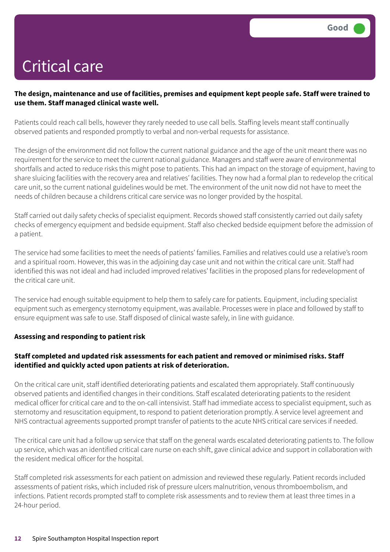### The design, maintenance and use of facilities, premises and equipment kept people safe. Staff were trained to **use them. Staff managed clinical waste well.**

Patients could reach call bells, however they rarely needed to use call bells. Staffing levels meant staff continually observed patients and responded promptly to verbal and non-verbal requests for assistance.

The design of the environment did not follow the current national guidance and the age of the unit meant there was no requirement for the service to meet the current national guidance. Managers and staff were aware of environmental shortfalls and acted to reduce risks this might pose to patients. This had an impact on the storage of equipment, having to share sluicing facilities with the recovery area and relatives' facilities. They now had a formal plan to redevelop the critical care unit, so the current national guidelines would be met. The environment of the unit now did not have to meet the needs of children because a childrens critical care service was no longer provided by the hospital.

Staff carried out daily safety checks of specialist equipment. Records showed staff consistently carried out daily safety checks of emergency equipment and bedside equipment. Staff also checked bedside equipment before the admission of a patient.

The service had some facilities to meet the needs of patients' families. Families and relatives could use a relative's room and a spiritual room. However, this was in the adjoining day case unit and not within the critical care unit. Staff had identified this was not ideal and had included improved relatives' facilities in the proposed plans for redevelopment of the critical care unit.

The service had enough suitable equipment to help them to safely care for patients. Equipment, including specialist equipment such as emergency sternotomy equipment, was available. Processes were in place and followed by staff to ensure equipment was safe to use. Staff disposed of clinical waste safely, in line with guidance.

#### **Assessing and responding to patient risk**

### **Staff completed and updated risk assessments for each patient and removed or minimised risks. Staff identified and quickly acted upon patients at risk of deterioration.**

On the critical care unit, staff identified deteriorating patients and escalated them appropriately. Staff continuously observed patients and identified changes in their conditions. Staff escalated deteriorating patients to the resident medical officer for critical care and to the on-call intensivist. Staff had immediate access to specialist equipment, such as sternotomy and resuscitation equipment, to respond to patient deterioration promptly. A service level agreement and NHS contractual agreements supported prompt transfer of patients to the acute NHS critical care services if needed.

The critical care unit had a follow up service that staff on the general wards escalated deteriorating patients to. The follow up service, which was an identified critical care nurse on each shift, gave clinical advice and support in collaboration with the resident medical officer for the hospital.

Staff completed risk assessments for each patient on admission and reviewed these regularly. Patient records included assessments of patient risks, which included risk of pressure ulcers malnutrition, venous thromboembolism, and infections. Patient records prompted staff to complete risk assessments and to review them at least three times in a 24-hour period.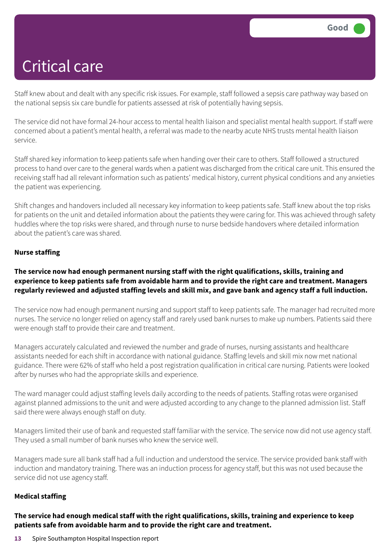Staff knew about and dealt with any specific risk issues. For example, staff followed a sepsis care pathway way based on the national sepsis six care bundle for patients assessed at risk of potentially having sepsis.

The service did not have formal 24-hour access to mental health liaison and specialist mental health support. If staff were concerned about a patient's mental health, a referral was made to the nearby acute NHS trusts mental health liaison service.

Staff shared key information to keep patients safe when handing over their care to others. Staff followed a structured process to hand over care to the general wards when a patient was discharged from the critical care unit. This ensured the receiving staff had all relevant information such as patients' medical history, current physical conditions and any anxieties the patient was experiencing.

Shift changes and handovers included all necessary key information to keep patients safe. Staff knew about the top risks for patients on the unit and detailed information about the patients they were caring for. This was achieved through safety huddles where the top risks were shared, and through nurse to nurse bedside handovers where detailed information about the patient's care was shared.

#### **Nurse staffing**

#### **The service now had enough permanent nursing staff with the right qualifications, skills, training and** experience to keep patients safe from avoidable harm and to provide the right care and treatment. Managers regularly reviewed and adjusted staffing levels and skill mix, and gave bank and agency staff a full induction.

The service now had enough permanent nursing and support staff to keep patients safe. The manager had recruited more nurses. The service no longer relied on agency staff and rarely used bank nurses to make up numbers. Patients said there were enough staff to provide their care and treatment.

Managers accurately calculated and reviewed the number and grade of nurses, nursing assistants and healthcare assistants needed for each shift in accordance with national guidance. Staffing levels and skill mix now met national guidance. There were 62% of staff who held a post registration qualification in critical care nursing. Patients were looked after by nurses who had the appropriate skills and experience.

The ward manager could adjust staffing levels daily according to the needs of patients. Staffing rotas were organised against planned admissions to the unit and were adjusted according to any change to the planned admission list. Staff said there were always enough staff on duty.

Managers limited their use of bank and requested staff familiar with the service. The service now did not use agency staff. They used a small number of bank nurses who knew the service well.

Managers made sure all bank staff had a full induction and understood the service. The service provided bank staff with induction and mandatory training. There was an induction process for agency staff, but this was not used because the service did not use agency staff.

#### **Medical staffing**

**The service had enough medical staff with the right qualifications, skills, training and experience to keep patients safe from avoidable harm and to provide the right care and treatment.**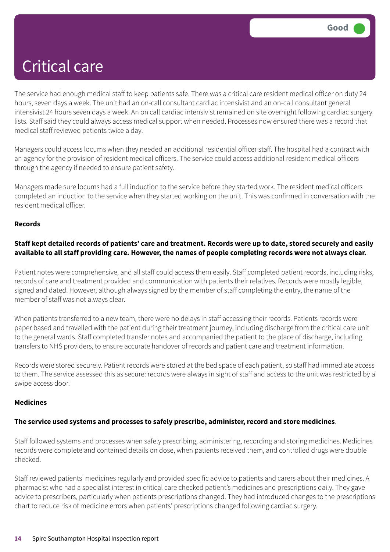The service had enough medical staff to keep patients safe. There was a critical care resident medical officer on duty 24 hours, seven days a week. The unit had an on-call consultant cardiac intensivist and an on-call consultant general intensivist 24 hours seven days a week. An on call cardiac intensivist remained on site overnight following cardiac surgery lists. Staff said they could always access medical support when needed. Processes now ensured there was a record that medical staff reviewed patients twice a day.

Managers could access locums when they needed an additional residential officer staff. The hospital had a contract with an agency for the provision of resident medical officers. The service could access additional resident medical officers through the agency if needed to ensure patient safety.

Managers made sure locums had a full induction to the service before they started work. The resident medical officers completed an induction to the service when they started working on the unit. This was confirmed in conversation with the resident medical officer.

#### **Records**

#### Staff kept detailed records of patients' care and treatment. Records were up to date, stored securely and easily available to all staff providing care. However, the names of people completing records were not always clear.

Patient notes were comprehensive, and all staff could access them easily. Staff completed patient records, including risks, records of care and treatment provided and communication with patients their relatives. Records were mostly legible, signed and dated. However, although always signed by the member of staff completing the entry, the name of the member of staff was not always clear.

When patients transferred to a new team, there were no delays in staff accessing their records. Patients records were paper based and travelled with the patient during their treatment journey, including discharge from the critical care unit to the general wards. Staff completed transfer notes and accompanied the patient to the place of discharge, including transfers to NHS providers, to ensure accurate handover of records and patient care and treatment information.

Records were stored securely. Patient records were stored at the bed space of each patient, so staff had immediate access to them. The service assessed this as secure: records were always in sight of staff and access to the unit was restricted by a swipe access door.

#### **Medicines**

#### **The service used systems and processes to safely prescribe, administer, record and store medicines**.

Staff followed systems and processes when safely prescribing, administering, recording and storing medicines. Medicines records were complete and contained details on dose, when patients received them, and controlled drugs were double checked.

Staff reviewed patients' medicines regularly and provided specific advice to patients and carers about their medicines. A pharmacist who had a specialist interest in critical care checked patient's medicines and prescriptions daily. They gave advice to prescribers, particularly when patients prescriptions changed. They had introduced changes to the prescriptions chart to reduce risk of medicine errors when patients' prescriptions changed following cardiac surgery.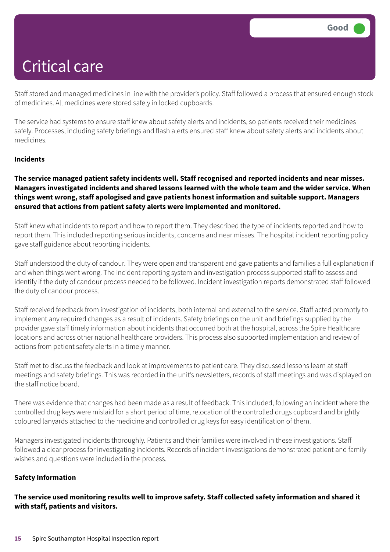Staff stored and managed medicines in line with the provider's policy. Staff followed a process that ensured enough stock of medicines. All medicines were stored safely in locked cupboards.

The service had systems to ensure staff knew about safety alerts and incidents, so patients received their medicines safely. Processes, including safety briefings and flash alerts ensured staff knew about safety alerts and incidents about medicines.

#### **Incidents**

#### **The service managed patient safety incidents well. Staff recognised and reported incidents and near misses. Managers investigated incidents and shared lessons learned with the whole team and the wider service. When things went wrong, staff apologised and gave patients honest information and suitable support. Managers ensured that actions from patient safety alerts were implemented and monitored.**

Staff knew what incidents to report and how to report them. They described the type of incidents reported and how to report them. This included reporting serious incidents, concerns and near misses. The hospital incident reporting policy gave staff guidance about reporting incidents.

Staff understood the duty of candour. They were open and transparent and gave patients and families a full explanation if and when things went wrong. The incident reporting system and investigation process supported staff to assess and identify if the duty of candour process needed to be followed. Incident investigation reports demonstrated staff followed the duty of candour process.

Staff received feedback from investigation of incidents, both internal and external to the service. Staff acted promptly to implement any required changes as a result of incidents. Safety briefings on the unit and briefings supplied by the provider gave staff timely information about incidents that occurred both at the hospital, across the Spire Healthcare locations and across other national healthcare providers. This process also supported implementation and review of actions from patient safety alerts in a timely manner.

Staff met to discuss the feedback and look at improvements to patient care. They discussed lessons learn at staff meetings and safety briefings. This was recorded in the unit's newsletters, records of staff meetings and was displayed on the staff notice board.

There was evidence that changes had been made as a result of feedback. This included, following an incident where the controlled drug keys were mislaid for a short period of time, relocation of the controlled drugs cupboard and brightly coloured lanyards attached to the medicine and controlled drug keys for easy identification of them.

Managers investigated incidents thoroughly. Patients and their families were involved in these investigations. Staff followed a clear process for investigating incidents. Records of incident investigations demonstrated patient and family wishes and questions were included in the process.

#### **Safety Information**

**The service used monitoring results well to improve safety. Staff collected safety information and shared it with staff, patients and visitors.**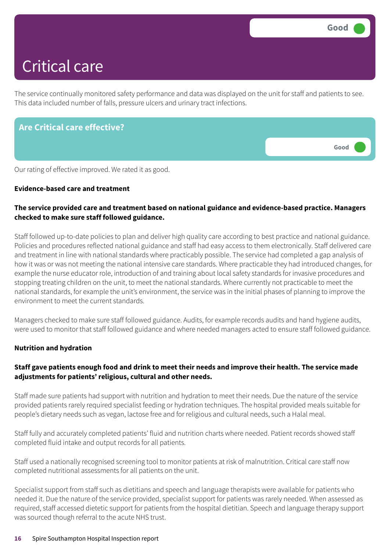The service continually monitored safety performance and data was displayed on the unit for staff and patients to see. This data included number of falls, pressure ulcers and urinary tract infections.

| <b>Are Critical care effective?</b>                    |      |
|--------------------------------------------------------|------|
|                                                        | Good |
| Our rating of effective improved. We rated it as good. |      |

#### **Evidence-based care and treatment**

#### **The service provided care and treatment based on national guidance and evidence-based practice. Managers checked to make sure staff followed guidance.**

Staff followed up-to-date policies to plan and deliver high quality care according to best practice and national guidance. Policies and procedures reflected national guidance and staff had easy access to them electronically. Staff delivered care and treatment in line with national standards where practicably possible. The service had completed a gap analysis of how it was or was not meeting the national intensive care standards. Where practicable they had introduced changes, for example the nurse educator role, introduction of and training about local safety standards for invasive procedures and stopping treating children on the unit, to meet the national standards. Where currently not practicable to meet the national standards, for example the unit's environment, the service was in the initial phases of planning to improve the environment to meet the current standards.

Managers checked to make sure staff followed guidance. Audits, for example records audits and hand hygiene audits, were used to monitor that staff followed guidance and where needed managers acted to ensure staff followed guidance.

#### **Nutrition and hydration**

### Staff gave patients enough food and drink to meet their needs and improve their health. The service made **adjustments for patients' religious, cultural and other needs.**

Staff made sure patients had support with nutrition and hydration to meet their needs. Due the nature of the service provided patients rarely required specialist feeding or hydration techniques. The hospital provided meals suitable for people's dietary needs such as vegan, lactose free and for religious and cultural needs, such a Halal meal.

Staff fully and accurately completed patients' fluid and nutrition charts where needed. Patient records showed staff completed fluid intake and output records for all patients.

Staff used a nationally recognised screening tool to monitor patients at risk of malnutrition. Critical care staff now completed nutritional assessments for all patients on the unit.

Specialist support from staff such as dietitians and speech and language therapists were available for patients who needed it. Due the nature of the service provided, specialist support for patients was rarely needed. When assessed as required, staff accessed dietetic support for patients from the hospital dietitian. Speech and language therapy support was sourced though referral to the acute NHS trust.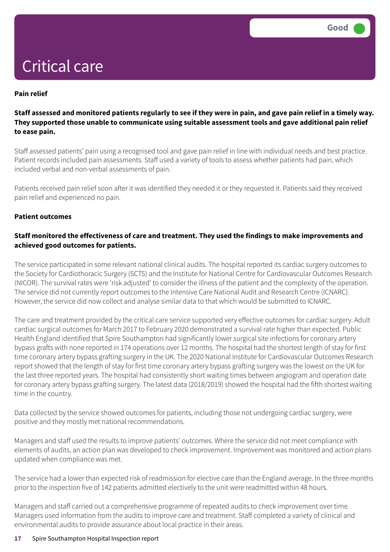#### **Pain relief**

#### Staff assessed and monitored patients regularly to see if they were in pain, and gave pain relief in a timely way. **They supported those unable to communicate using suitable assessment tools and gave additional pain relief to ease pain.**

Staff assessed patients' pain using a recognised tool and gave pain relief in line with individual needs and best practice. Patient records included pain assessments. Staff used a variety of tools to assess whether patients had pain, which included verbal and non-verbal assessments of pain.

Patients received pain relief soon after it was identified they needed it or they requested it. Patients said they received pain relief and experienced no pain.

#### **Patient outcomes**

#### **Staff monitored the effectiveness of care and treatment. They used the findings to make improvements and achieved good outcomes for patients.**

The service participated in some relevant national clinical audits. The hospital reported its cardiac surgery outcomes to the Society for Cardiothoracic Surgery (SCTS) and the Institute for National Centre for Cardiovascular Outcomes Research (NICOR). The survival rates were 'risk adjusted' to consider the illness of the patient and the complexity of the operation. The service did not currently report outcomes to the Intensive Care National Audit and Research Centre (ICNARC). However, the service did now collect and analyse similar data to that which would be submitted to ICNARC.

The care and treatment provided by the critical care service supported very effective outcomes for cardiac surgery. Adult cardiac surgical outcomes for March 2017 to February 2020 demonstrated a survival rate higher than expected. Public Health England identified that Spire Southampton had significantly lower surgical site infections for coronary artery bypass grafts with none reported in 174 operations over 12 months. The hospital had the shortest length of stay for first time coronary artery bypass grafting surgery in the UK. The 2020 National Institute for Cardiovascular Outcomes Research report showed that the length of stay for first time coronary artery bypass grafting surgery was the lowest on the UK for the last three reported years. The hospital had consistently short waiting times between angiogram and operation date for coronary artery bypass grafting surgery. The latest data (2018/2019) showed the hospital had the fifth shortest waiting time in the country.

Data collected by the service showed outcomes for patients, including those not undergoing cardiac surgery, were positive and they mostly met national recommendations.

Managers and staff used the results to improve patients' outcomes. Where the service did not meet compliance with elements of audits, an action plan was developed to check improvement. Improvement was monitored and action plans updated when compliance was met.

The service had a lower than expected risk of readmission for elective care than the England average. In the three months prior to the inspection five of 142 patients admitted electively to the unit were readmitted within 48 hours.

Managers and staff carried out a comprehensive programme of repeated audits to check improvement over time. Managers used information from the audits to improve care and treatment. Staff completed a variety of clinical and environmental audits to provide assurance about local practice in their areas.

#### **17** Spire Southampton Hospital Inspection report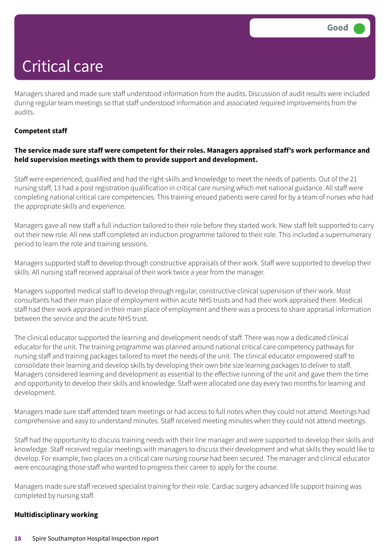Managers shared and made sure staff understood information from the audits. Discussion of audit results were included during regular team meetings so that staff understood information and associated required improvements from the audits.

#### **Competent staff**

#### **The service made sure staff were competent for their roles. Managers appraised staff's work performance and held supervision meetings with them to provide support and development.**

Staff were experienced, qualified and had the right skills and knowledge to meet the needs of patients. Out of the 21 nursing staff, 13 had a post registration qualification in critical care nursing which met national guidance. All staff were completing national critical care competencies. This training ensued patients were cared for by a team of nurses who had the appropriate skills and experience.

Managers gave all new staff a full induction tailored to their role before they started work. New staff felt supported to carry out their new role. All new staff completed an induction programme tailored to their role. This included a supernumerary period to learn the role and training sessions.

Managers supported staff to develop through constructive appraisals of their work. Staff were supported to develop their skills. All nursing staff received appraisal of their work twice a year from the manager.

Managers supported medical staff to develop through regular, constructive clinical supervision of their work. Most consultants had their main place of employment within acute NHS trusts and had their work appraised there. Medical staff had their work appraised in their main place of employment and there was a process to share appraisal information between the service and the acute NHS trust.

The clinical educator supported the learning and development needs of staff. There was now a dedicated clinical educator for the unit. The training programme was planned around national critical care competency pathways for nursing staff and training packages tailored to meet the needs of the unit. The clinical educator empowered staff to consolidate their learning and develop skills by developing their own bite size learning packages to deliver to staff. Managers considered learning and development as essential to the effective running of the unit and gave them the time and opportunity to develop their skills and knowledge. Staff were allocated one day every two months for learning and development.

Managers made sure staff attended team meetings or had access to full notes when they could not attend. Meetings had comprehensive and easy to understand minutes. Staff received meeting minutes when they could not attend meetings.

Staff had the opportunity to discuss training needs with their line manager and were supported to develop their skills and knowledge. Staff received regular meetings with managers to discuss their development and what skills they would like to develop. For example, two places on a critical care nursing course had been secured. The manager and clinical educator were encouraging those staff who wanted to progress their career to apply for the course.

Managers made sure staff received specialist training for their role. Cardiac surgery advanced life support training was completed by nursing staff.

#### **Multidisciplinary working**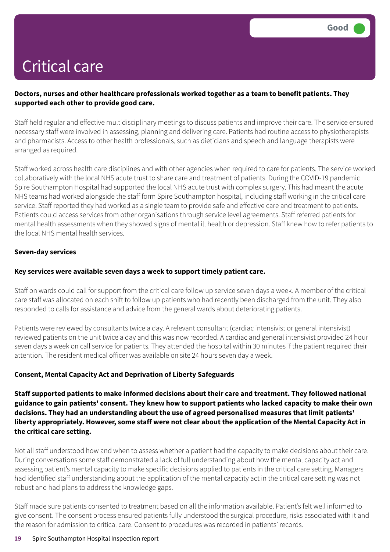#### **Doctors, nurses and other healthcare professionals worked together as a team to benefit patients. They supported each other to provide good care.**

Staff held regular and effective multidisciplinary meetings to discuss patients and improve their care. The service ensured necessary staff were involved in assessing, planning and delivering care. Patients had routine access to physiotherapists and pharmacists. Access to other health professionals, such as dieticians and speech and language therapists were arranged as required.

Staff worked across health care disciplines and with other agencies when required to care for patients. The service worked collaboratively with the local NHS acute trust to share care and treatment of patients. During the COVID-19 pandemic Spire Southampton Hospital had supported the local NHS acute trust with complex surgery. This had meant the acute NHS teams had worked alongside the staff form Spire Southampton hospital, including staff working in the critical care service. Staff reported they had worked as a single team to provide safe and effective care and treatment to patients. Patients could access services from other organisations through service level agreements. Staff referred patients for mental health assessments when they showed signs of mental ill health or depression. Staff knew how to refer patients to the local NHS mental health services.

#### **Seven-day services**

#### **Key services were available seven days a week to support timely patient care.**

Staff on wards could call for support from the critical care follow up service seven days a week. A member of the critical care staff was allocated on each shift to follow up patients who had recently been discharged from the unit. They also responded to calls for assistance and advice from the general wards about deteriorating patients.

Patients were reviewed by consultants twice a day. A relevant consultant (cardiac intensivist or general intensivist) reviewed patients on the unit twice a day and this was now recorded. A cardiac and general intensivist provided 24 hour seven days a week on call service for patients. They attended the hospital within 30 minutes if the patient required their attention. The resident medical officer was available on site 24 hours seven day a week.

#### **Consent, Mental Capacity Act and Deprivation of Liberty Safeguards**

**Staff supported patients to make informed decisions about their care and treatment. They followed national** guidance to gain patients' consent. They knew how to support patients who lacked capacity to make their own **decisions. They had an understanding about the use of agreed personalised measures that limit patients'** liberty appropriately. However, some staff were not clear about the application of the Mental Capacity Act in **the critical care setting.**

Not all staff understood how and when to assess whether a patient had the capacity to make decisions about their care. During conversations some staff demonstrated a lack of full understanding about how the mental capacity act and assessing patient's mental capacity to make specific decisions applied to patients in the critical care setting. Managers had identified staff understanding about the application of the mental capacity act in the critical care setting was not robust and had plans to address the knowledge gaps.

Staff made sure patients consented to treatment based on all the information available. Patient's felt well informed to give consent. The consent process ensured patients fully understood the surgical procedure, risks associated with it and the reason for admission to critical care. Consent to procedures was recorded in patients' records.

#### **19** Spire Southampton Hospital Inspection report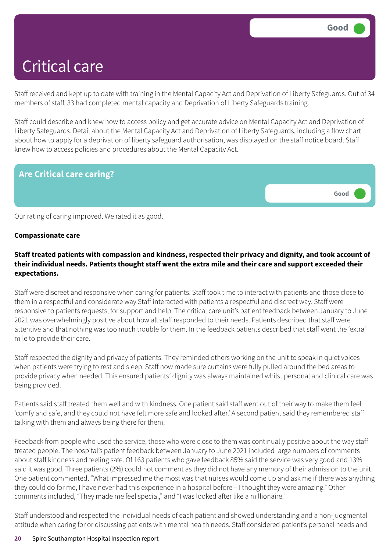Staff received and kept up to date with training in the Mental Capacity Act and Deprivation of Liberty Safeguards. Out of 34 members of staff, 33 had completed mental capacity and Deprivation of Liberty Safeguards training.

Staff could describe and knew how to access policy and get accurate advice on Mental Capacity Act and Deprivation of Liberty Safeguards. Detail about the Mental Capacity Act and Deprivation of Liberty Safeguards, including a flow chart about how to apply for a deprivation of liberty safeguard authorisation, was displayed on the staff notice board. Staff knew how to access policies and procedures about the Mental Capacity Act.

### **Are Critical care caring?**



Our rating of caring improved. We rated it as good.

#### **Compassionate care**

### **Staff treated patients with compassion and kindness, respected their privacy and dignity, and took account of** their individual needs. Patients thought staff went the extra mile and their care and support exceeded their **expectations.**

Staff were discreet and responsive when caring for patients. Staff took time to interact with patients and those close to them in a respectful and considerate way.Staff interacted with patients a respectful and discreet way. Staff were responsive to patients requests, for support and help. The critical care unit's patient feedback between January to June 2021 was overwhelmingly positive about how all staff responded to their needs. Patients described that staff were attentive and that nothing was too much trouble for them. In the feedback patients described that staff went the 'extra' mile to provide their care.

Staff respected the dignity and privacy of patients. They reminded others working on the unit to speak in quiet voices when patients were trying to rest and sleep. Staff now made sure curtains were fully pulled around the bed areas to provide privacy when needed. This ensured patients' dignity was always maintained whilst personal and clinical care was being provided.

Patients said staff treated them well and with kindness. One patient said staff went out of their way to make them feel 'comfy and safe, and they could not have felt more safe and looked after.' A second patient said they remembered staff talking with them and always being there for them.

Feedback from people who used the service, those who were close to them was continually positive about the way staff treated people. The hospital's patient feedback between January to June 2021 included large numbers of comments about staff kindness and feeling safe. Of 163 patients who gave feedback 85% said the service was very good and 13% said it was good. Three patients (2%) could not comment as they did not have any memory of their admission to the unit. One patient commented, "What impressed me the most was that nurses would come up and ask me if there was anything they could do for me, I have never had this experience in a hospital before – I thought they were amazing." Other comments included, "They made me feel special," and "I was looked after like a millionaire."

Staff understood and respected the individual needs of each patient and showed understanding and a non-judgmental attitude when caring for or discussing patients with mental health needs. Staff considered patient's personal needs and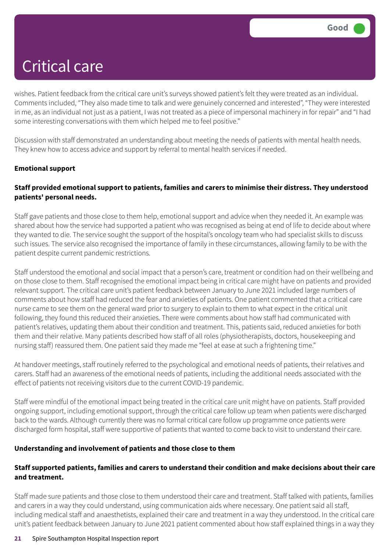wishes. Patient feedback from the critical care unit's surveys showed patient's felt they were treated as an individual. Comments included, "They also made time to talk and were genuinely concerned and interested", "They were interested in me, as an individual not just as a patient, I was not treated as a piece of impersonal machinery in for repair" and "I had some interesting conversations with them which helped me to feel positive."

Discussion with staff demonstrated an understanding about meeting the needs of patients with mental health needs. They knew how to access advice and support by referral to mental health services if needed.

### **Emotional support**

#### **Staff provided emotional support to patients, families and carers to minimise their distress. They understood patients' personal needs.**

Staff gave patients and those close to them help, emotional support and advice when they needed it. An example was shared about how the service had supported a patient who was recognised as being at end of life to decide about where they wanted to die. The service sought the support of the hospital's oncology team who had specialist skills to discuss such issues. The service also recognised the importance of family in these circumstances, allowing family to be with the patient despite current pandemic restrictions.

Staff understood the emotional and social impact that a person's care, treatment or condition had on their wellbeing and on those close to them. Staff recognised the emotional impact being in critical care might have on patients and provided relevant support. The critical care unit's patient feedback between January to June 2021 included large numbers of comments about how staff had reduced the fear and anxieties of patients. One patient commented that a critical care nurse came to see them on the general ward prior to surgery to explain to them to what expect in the critical unit following, they found this reduced their anxieties. There were comments about how staff had communicated with patient's relatives, updating them about their condition and treatment. This, patients said, reduced anxieties for both them and their relative. Many patients described how staff of all roles (physiotherapists, doctors, housekeeping and nursing staff) reassured them. One patient said they made me "feel at ease at such a frightening time."

At handover meetings, staff routinely referred to the psychological and emotional needs of patients, their relatives and carers. Staff had an awareness of the emotional needs of patients, including the additional needs associated with the effect of patients not receiving visitors due to the current COVID-19 pandemic.

Staff were mindful of the emotional impact being treated in the critical care unit might have on patients. Staff provided ongoing support, including emotional support, through the critical care follow up team when patients were discharged back to the wards. Although currently there was no formal critical care follow up programme once patients were discharged form hospital, staff were supportive of patients that wanted to come back to visit to understand their care.

#### **Understanding and involvement of patients and those close to them**

#### **Staff supported patients, families and carers to understand their condition and make decisions about their care and treatment.**

Staff made sure patients and those close to them understood their care and treatment. Staff talked with patients, families and carers in a way they could understand, using communication aids where necessary. One patient said all staff, including medical staff and anaesthetists, explained their care and treatment in a way they understood. In the critical care unit's patient feedback between January to June 2021 patient commented about how staff explained things in a way they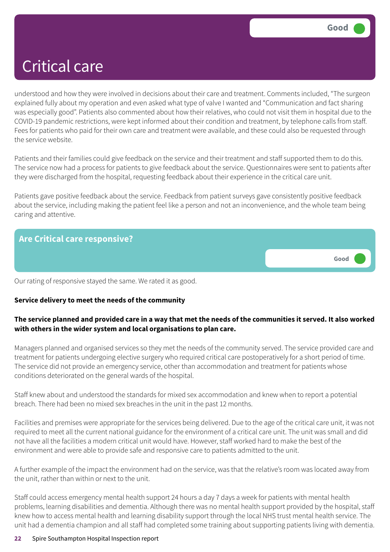understood and how they were involved in decisions about their care and treatment. Comments included, "The surgeon explained fully about my operation and even asked what type of valve I wanted and "Communication and fact sharing was especially good". Patients also commented about how their relatives, who could not visit them in hospital due to the COVID-19 pandemic restrictions, were kept informed about their condition and treatment, by telephone calls from staff. Fees for patients who paid for their own care and treatment were available, and these could also be requested through the service website.

Patients and their families could give feedback on the service and their treatment and staff supported them to do this. The service now had a process for patients to give feedback about the service. Questionnaires were sent to patients after they were discharged from the hospital, requesting feedback about their experience in the critical care unit.

Patients gave positive feedback about the service. Feedback from patient surveys gave consistently positive feedback about the service, including making the patient feel like a person and not an inconvenience, and the whole team being caring and attentive.



Our rating of responsive stayed the same. We rated it as good.

#### **Service delivery to meet the needs of the community**

### The service planned and provided care in a way that met the needs of the communities it served. It also worked **with others in the wider system and local organisations to plan care.**

Managers planned and organised services so they met the needs of the community served. The service provided care and treatment for patients undergoing elective surgery who required critical care postoperatively for a short period of time. The service did not provide an emergency service, other than accommodation and treatment for patients whose conditions deteriorated on the general wards of the hospital.

Staff knew about and understood the standards for mixed sex accommodation and knew when to report a potential breach. There had been no mixed sex breaches in the unit in the past 12 months.

Facilities and premises were appropriate for the services being delivered. Due to the age of the critical care unit, it was not required to meet all the current national guidance for the environment of a critical care unit. The unit was small and did not have all the facilities a modern critical unit would have. However, staff worked hard to make the best of the environment and were able to provide safe and responsive care to patients admitted to the unit.

A further example of the impact the environment had on the service, was that the relative's room was located away from the unit, rather than within or next to the unit.

Staff could access emergency mental health support 24 hours a day 7 days a week for patients with mental health problems, learning disabilities and dementia. Although there was no mental health support provided by the hospital, staff knew how to access mental health and learning disability support through the local NHS trust mental health service. The unit had a dementia champion and all staff had completed some training about supporting patients living with dementia.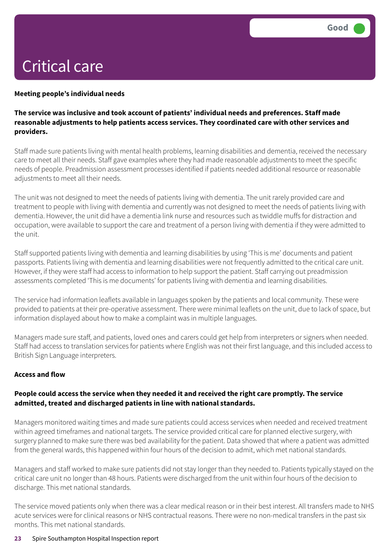#### **Meeting people's individual needs**

#### **The service was inclusive and took account of patients' individual needs and preferences. Staff made reasonable adjustments to help patients access services. They coordinated care with other services and providers.**

Staff made sure patients living with mental health problems, learning disabilities and dementia, received the necessary care to meet all their needs. Staff gave examples where they had made reasonable adjustments to meet the specific needs of people. Preadmission assessment processes identified if patients needed additional resource or reasonable adjustments to meet all their needs.

The unit was not designed to meet the needs of patients living with dementia. The unit rarely provided care and treatment to people with living with dementia and currently was not designed to meet the needs of patients living with dementia. However, the unit did have a dementia link nurse and resources such as twiddle muffs for distraction and occupation, were available to support the care and treatment of a person living with dementia if they were admitted to the unit.

Staff supported patients living with dementia and learning disabilities by using 'This is me' documents and patient passports. Patients living with dementia and learning disabilities were not frequently admitted to the critical care unit. However, if they were staff had access to information to help support the patient. Staff carrying out preadmission assessments completed 'This is me documents' for patients living with dementia and learning disabilities.

The service had information leaflets available in languages spoken by the patients and local community. These were provided to patients at their pre-operative assessment. There were minimal leaflets on the unit, due to lack of space, but information displayed about how to make a complaint was in multiple languages.

Managers made sure staff, and patients, loved ones and carers could get help from interpreters or signers when needed. Staff had access to translation services for patients where English was not their first language, and this included access to British Sign Language interpreters.

#### **Access and flow**

#### **People could access the service when they needed it and received the right care promptly. The service admitted, treated and discharged patients in line with national standards.**

Managers monitored waiting times and made sure patients could access services when needed and received treatment within agreed timeframes and national targets. The service provided critical care for planned elective surgery, with surgery planned to make sure there was bed availability for the patient. Data showed that where a patient was admitted from the general wards, this happened within four hours of the decision to admit, which met national standards.

Managers and staff worked to make sure patients did not stay longer than they needed to. Patients typically stayed on the critical care unit no longer than 48 hours. Patients were discharged from the unit within four hours of the decision to discharge. This met national standards.

The service moved patients only when there was a clear medical reason or in their best interest. All transfers made to NHS acute services were for clinical reasons or NHS contractual reasons. There were no non-medical transfers in the past six months. This met national standards.

#### **23** Spire Southampton Hospital Inspection report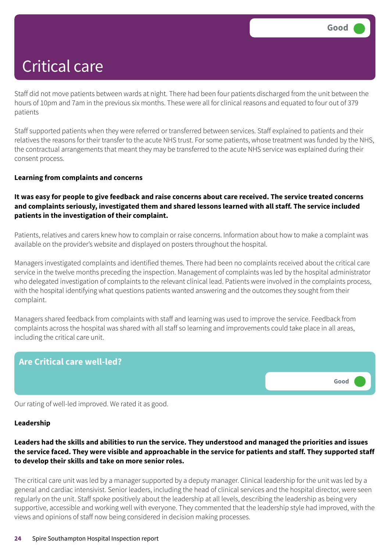Staff did not move patients between wards at night. There had been four patients discharged from the unit between the hours of 10pm and 7am in the previous six months. These were all for clinical reasons and equated to four out of 379 patients

Staff supported patients when they were referred or transferred between services. Staff explained to patients and their relatives the reasons for their transfer to the acute NHS trust. For some patients, whose treatment was funded by the NHS, the contractual arrangements that meant they may be transferred to the acute NHS service was explained during their consent process.

#### **Learning from complaints and concerns**

#### It was easy for people to give feedback and raise concerns about care received. The service treated concerns **and complaints seriously, investigated them and shared lessons learned with all staff. The service included patients in the investigation of their complaint.**

Patients, relatives and carers knew how to complain or raise concerns. Information about how to make a complaint was available on the provider's website and displayed on posters throughout the hospital.

Managers investigated complaints and identified themes. There had been no complaints received about the critical care service in the twelve months preceding the inspection. Management of complaints was led by the hospital administrator who delegated investigation of complaints to the relevant clinical lead. Patients were involved in the complaints process, with the hospital identifying what questions patients wanted answering and the outcomes they sought from their complaint.

Managers shared feedback from complaints with staff and learning was used to improve the service. Feedback from complaints across the hospital was shared with all staff so learning and improvements could take place in all areas, including the critical care unit.



Our rating of well-led improved. We rated it as good.

#### **Leadership**

#### Leaders had the skills and abilities to run the service. They understood and managed the priorities and issues the service faced. They were visible and approachable in the service for patients and staff. They supported staff **to develop their skills and take on more senior roles.**

The critical care unit was led by a manager supported by a deputy manager. Clinical leadership for the unit was led by a general and cardiac intensivist. Senior leaders, including the head of clinical services and the hospital director, were seen regularly on the unit. Staff spoke positively about the leadership at all levels, describing the leadership as being very supportive, accessible and working well with everyone. They commented that the leadership style had improved, with the views and opinions of staff now being considered in decision making processes.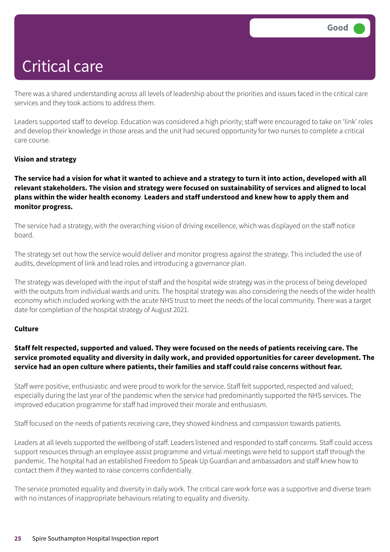There was a shared understanding across all levels of leadership about the priorities and issues faced in the critical care services and they took actions to address them.

Leaders supported staff to develop. Education was considered a high priority; staff were encouraged to take on 'link' roles and develop their knowledge in those areas and the unit had secured opportunity for two nurses to complete a critical care course.

#### **Vision and strategy**

The service had a vision for what it wanted to achieve and a strategy to turn it into action, developed with all **relevant stakeholders. The vision and strategy were focused on sustainability of services and aligned to local plans within the wider health economy**. **Leaders and staff understood and knew how to apply them and monitor progress.**

The service had a strategy, with the overarching vision of driving excellence, which was displayed on the staff notice board.

The strategy set out how the service would deliver and monitor progress against the strategy. This included the use of audits, development of link and lead roles and introducing a governance plan.

The strategy was developed with the input of staff and the hospital wide strategy was in the process of being developed with the outputs from individual wards and units. The hospital strategy was also considering the needs of the wider health economy which included working with the acute NHS trust to meet the needs of the local community. There was a target date for completion of the hospital strategy of August 2021.

#### **Culture**

### Staff felt respected, supported and valued. They were focused on the needs of patients receiving care. The **service promoted equality and diversity in daily work, and provided opportunities for career development. The service had an open culture where patients, their families and staff could raise concerns without fear.**

Staff were positive, enthusiastic and were proud to work for the service. Staff felt supported, respected and valued; especially during the last year of the pandemic when the service had predominantly supported the NHS services. The improved education programme for staff had improved their morale and enthusiasm.

Staff focused on the needs of patients receiving care, they showed kindness and compassion towards patients.

Leaders at all levels supported the wellbeing of staff. Leaders listened and responded to staff concerns. Staff could access support resources through an employee assist programme and virtual meetings were held to support staff through the pandemic. The hospital had an established Freedom to Speak Up Guardian and ambassadors and staff knew how to contact them if they wanted to raise concerns confidentially.

The service promoted equality and diversity in daily work. The critical care work force was a supportive and diverse team with no instances of inappropriate behaviours relating to equality and diversity.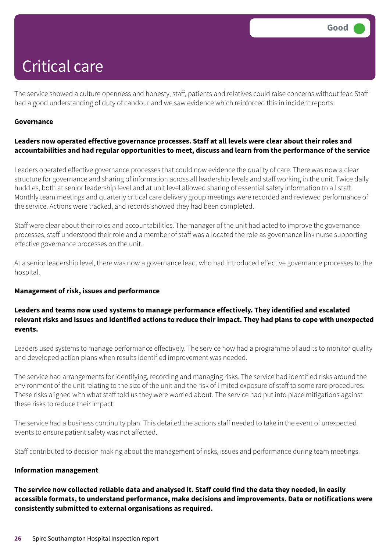The service showed a culture openness and honesty, staff, patients and relatives could raise concerns without fear. Staff had a good understanding of duty of candour and we saw evidence which reinforced this in incident reports.

#### **Governance**

#### **Leaders now operated effective governance processes. Staff at all levels were clear about their roles and accountabilities and had regular opportunities to meet, discuss and learn from the performance of the service**

Leaders operated effective governance processes that could now evidence the quality of care. There was now a clear structure for governance and sharing of information across all leadership levels and staff working in the unit. Twice daily huddles, both at senior leadership level and at unit level allowed sharing of essential safety information to all staff. Monthly team meetings and quarterly critical care delivery group meetings were recorded and reviewed performance of the service. Actions were tracked, and records showed they had been completed.

Staff were clear about their roles and accountabilities. The manager of the unit had acted to improve the governance processes, staff understood their role and a member of staff was allocated the role as governance link nurse supporting effective governance processes on the unit.

At a senior leadership level, there was now a governance lead, who had introduced effective governance processes to the hospital.

#### **Management of risk, issues and performance**

#### **Leaders and teams now used systems to manage performance effectively. They identified and escalated** relevant risks and issues and identified actions to reduce their impact. They had plans to cope with unexpected **events.**

Leaders used systems to manage performance effectively. The service now had a programme of audits to monitor quality and developed action plans when results identified improvement was needed.

The service had arrangements for identifying, recording and managing risks. The service had identified risks around the environment of the unit relating to the size of the unit and the risk of limited exposure of staff to some rare procedures. These risks aligned with what staff told us they were worried about. The service had put into place mitigations against these risks to reduce their impact.

The service had a business continuity plan. This detailed the actions staff needed to take in the event of unexpected events to ensure patient safety was not affected.

Staff contributed to decision making about the management of risks, issues and performance during team meetings.

#### **Information management**

The service now collected reliable data and analysed it. Staff could find the data they needed, in easily **accessible formats, to understand performance, make decisions and improvements. Data or notifications were consistently submitted to external organisations as required.**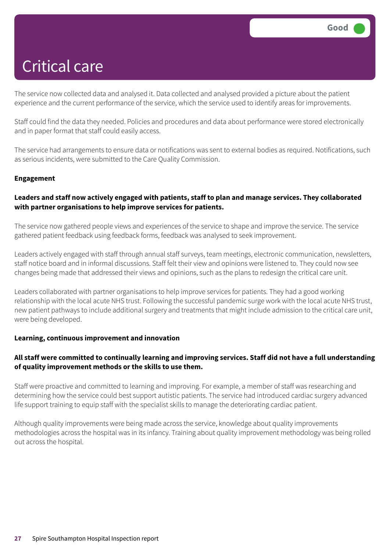The service now collected data and analysed it. Data collected and analysed provided a picture about the patient experience and the current performance of the service, which the service used to identify areas for improvements.

Staff could find the data they needed. Policies and procedures and data about performance were stored electronically and in paper format that staff could easily access.

The service had arrangements to ensure data or notifications was sent to external bodies as required. Notifications, such as serious incidents, were submitted to the Care Quality Commission.

#### **Engagement**

#### **Leaders and staff now actively engaged with patients, staff to plan and manage services. They collaborated with partner organisations to help improve services for patients.**

The service now gathered people views and experiences of the service to shape and improve the service. The service gathered patient feedback using feedback forms, feedback was analysed to seek improvement.

Leaders actively engaged with staff through annual staff surveys, team meetings, electronic communication, newsletters, staff notice board and in informal discussions. Staff felt their view and opinions were listened to. They could now see changes being made that addressed their views and opinions, such as the plans to redesign the critical care unit.

Leaders collaborated with partner organisations to help improve services for patients. They had a good working relationship with the local acute NHS trust. Following the successful pandemic surge work with the local acute NHS trust, new patient pathways to include additional surgery and treatments that might include admission to the critical care unit, were being developed.

#### **Learning, continuous improvement and innovation**

### All staff were committed to continually learning and improving services. Staff did not have a full understanding **of quality improvement methods or the skills to use them.**

Staff were proactive and committed to learning and improving. For example, a member of staff was researching and determining how the service could best support autistic patients. The service had introduced cardiac surgery advanced life support training to equip staff with the specialist skills to manage the deteriorating cardiac patient.

Although quality improvements were being made across the service, knowledge about quality improvements methodologies across the hospital was in its infancy. Training about quality improvement methodology was being rolled out across the hospital.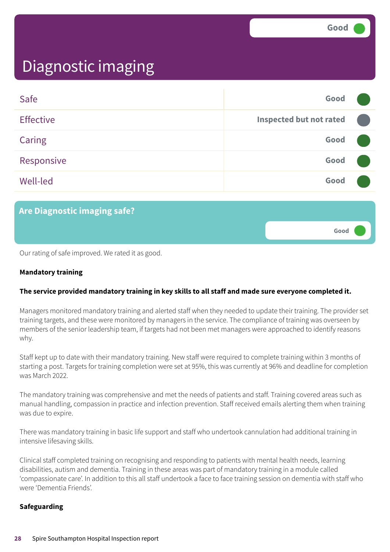**Good –––**

### Diagnostic imaging

| Safe             | Good                           |  |
|------------------|--------------------------------|--|
| <b>Effective</b> | <b>Inspected but not rated</b> |  |
| Caring           | Good                           |  |
| Responsive       | Good                           |  |
| <b>Well-led</b>  | Good                           |  |

### **Are Diagnostic imaging safe?**

Our rating of safe improved. We rated it as good.

#### **Mandatory training**

#### **The service provided mandatory training in key skills to all staff and made sure everyone completed it.**

Managers monitored mandatory training and alerted staff when they needed to update their training. The provider set training targets, and these were monitored by managers in the service. The compliance of training was overseen by members of the senior leadership team, if targets had not been met managers were approached to identify reasons why.

Staff kept up to date with their mandatory training. New staff were required to complete training within 3 months of starting a post. Targets for training completion were set at 95%, this was currently at 96% and deadline for completion was March 2022.

The mandatory training was comprehensive and met the needs of patients and staff. Training covered areas such as manual handling, compassion in practice and infection prevention. Staff received emails alerting them when training was due to expire.

There was mandatory training in basic life support and staff who undertook cannulation had additional training in intensive lifesaving skills.

Clinical staff completed training on recognising and responding to patients with mental health needs, learning disabilities, autism and dementia. Training in these areas was part of mandatory training in a module called 'compassionate care'. In addition to this all staff undertook a face to face training session on dementia with staff who were 'Dementia Friends'.

#### **Safeguarding**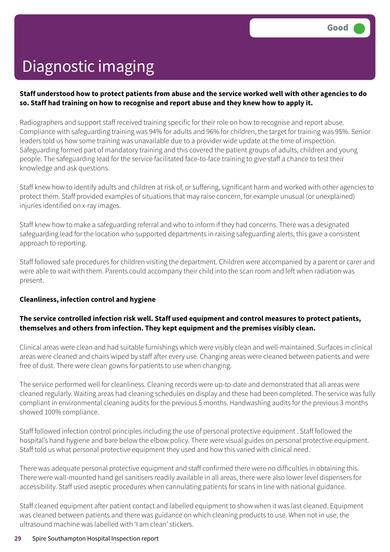#### Staff understood how to protect patients from abuse and the service worked well with other agencies to do **so. Staff had training on how to recognise and report abuse and they knew how to apply it.**

Radiographers and support staff received training specific for their role on how to recognise and report abuse. Compliance with safeguarding training was 94% for adults and 96% for children, the target for training was 95%. Senior leaders told us how some training was unavailable due to a provider wide update at the time of inspection. Safeguarding formed part of mandatory training and this covered the patient groups of adults, children and young people. The safeguarding lead for the service facilitated face-to-face training to give staff a chance to test their knowledge and ask questions.

Staff knew how to identify adults and children at risk of, or suffering, significant harm and worked with other agencies to protect them. Staff provided examples of situations that may raise concern, for example unusual (or unexplained) injuries identified on x-ray images.

Staff knew how to make a safeguarding referral and who to inform if they had concerns. There was a designated safeguarding lead for the location who supported departments in raising safeguarding alerts, this gave a consistent approach to reporting.

Staff followed safe procedures for children visiting the department. Children were accompanied by a parent or carer and were able to wait with them. Parents could accompany their child into the scan room and left when radiation was present.

#### **Cleanliness, infection control and hygiene**

### **The service controlled infection risk well. Staff used equipment and control measures to protect patients, themselves and others from infection. They kept equipment and the premises visibly clean.**

Clinical areas were clean and had suitable furnishings which were visibly clean and well-maintained. Surfaces in clinical areas were cleaned and chairs wiped by staff after every use. Changing areas were cleaned between patients and were free of dust. There were clean gowns for patients to use when changing.

The service performed well for cleanliness. Cleaning records were up-to-date and demonstrated that all areas were cleaned regularly. Waiting areas had cleaning schedules on display and these had been completed. The service was fully compliant in environmental cleaning audits for the previous 5 months. Handwashing audits for the previous 3 months showed 100% compliance.

Staff followed infection control principles including the use of personal protective equipment . Staff followed the hospital's hand hygiene and bare below the elbow policy. There were visual guides on personal protective equipment. Staff told us what personal protective equipment they used and how this varied with clinical need.

There was adequate personal protective equipment and staff confirmed there were no difficulties in obtaining this. There were wall-mounted hand gel sanitisers readily available in all areas, there were also lower level dispensers for accessibility. Staff used aseptic procedures when cannulating patients for scans in line with national guidance.

Staff cleaned equipment after patient contact and labelled equipment to show when it was last cleaned. Equipment was cleaned between patients and there was guidance on which cleaning products to use. When not in use, the ultrasound machine was labelled with 'I am clean' stickers.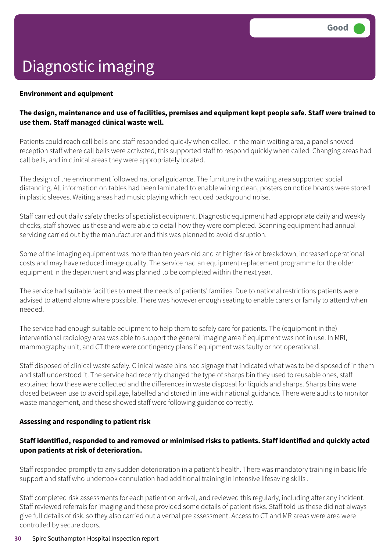#### **Environment and equipment**

#### The design, maintenance and use of facilities, premises and equipment kept people safe. Staff were trained to **use them. Staff managed clinical waste well.**

Patients could reach call bells and staff responded quickly when called. In the main waiting area, a panel showed reception staff where call bells were activated, this supported staff to respond quickly when called. Changing areas had call bells, and in clinical areas they were appropriately located.

The design of the environment followed national guidance. The furniture in the waiting area supported social distancing. All information on tables had been laminated to enable wiping clean, posters on notice boards were stored in plastic sleeves. Waiting areas had music playing which reduced background noise.

Staff carried out daily safety checks of specialist equipment. Diagnostic equipment had appropriate daily and weekly checks, staff showed us these and were able to detail how they were completed. Scanning equipment had annual servicing carried out by the manufacturer and this was planned to avoid disruption.

Some of the imaging equipment was more than ten years old and at higher risk of breakdown, increased operational costs and may have reduced image quality. The service had an equipment replacement programme for the older equipment in the department and was planned to be completed within the next year.

The service had suitable facilities to meet the needs of patients' families. Due to national restrictions patients were advised to attend alone where possible. There was however enough seating to enable carers or family to attend when needed.

The service had enough suitable equipment to help them to safely care for patients. The (equipment in the) interventional radiology area was able to support the general imaging area if equipment was not in use. In MRI, mammography unit, and CT there were contingency plans if equipment was faulty or not operational.

Staff disposed of clinical waste safely. Clinical waste bins had signage that indicated what was to be disposed of in them and staff understood it. The service had recently changed the type of sharps bin they used to reusable ones, staff explained how these were collected and the differences in waste disposal for liquids and sharps. Sharps bins were closed between use to avoid spillage, labelled and stored in line with national guidance. There were audits to monitor waste management, and these showed staff were following guidance correctly.

#### **Assessing and responding to patient risk**

### **Staff identified, responded to and removed or minimised risks to patients. Staff identified and quickly acted upon patients at risk of deterioration.**

Staff responded promptly to any sudden deterioration in a patient's health. There was mandatory training in basic life support and staff who undertook cannulation had additional training in intensive lifesaving skills .

Staff completed risk assessments for each patient on arrival, and reviewed this regularly, including after any incident. Staff reviewed referrals for imaging and these provided some details of patient risks. Staff told us these did not always give full details of risk, so they also carried out a verbal pre assessment. Access to CT and MR areas were area were controlled by secure doors.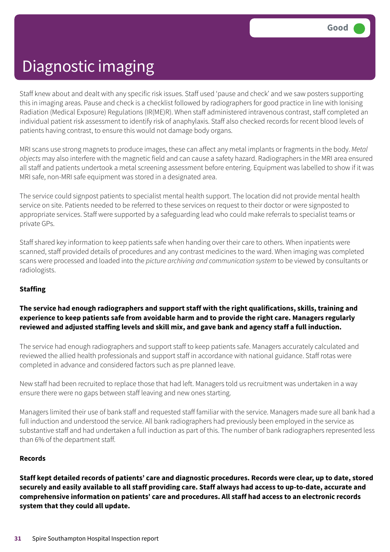Staff knew about and dealt with any specific risk issues. Staff used 'pause and check' and we saw posters supporting this in imaging areas. Pause and check is a checklist followed by radiographers for good practice in line with Ionising Radiation (Medical Exposure) Regulations (IR(ME)R). When staff administered intravenous contrast, staff completed an individual patient risk assessment to identify risk of anaphylaxis. Staff also checked records for recent blood levels of patients having contrast, to ensure this would not damage body organs.

MRI scans use strong magnets to produce images, these can affect any metal implants or fragments in the body. *Metal objects* may also interfere with the magnetic field and can cause a safety hazard. Radiographers in the MRI area ensured all staff and patients undertook a metal screening assessment before entering. Equipment was labelled to show if it was MRI safe, non-MRI safe equipment was stored in a designated area.

The service could signpost patients to specialist mental health support. The location did not provide mental health service on site. Patients needed to be referred to these services on request to their doctor or were signposted to appropriate services. Staff were supported by a safeguarding lead who could make referrals to specialist teams or private GPs.

Staff shared key information to keep patients safe when handing over their care to others. When inpatients were scanned, staff provided details of procedures and any contrast medicines to the ward. When imaging was completed scans were processed and loaded into the *picture archiving and communication system* to be viewed by consultants or radiologists.

#### **Staffing**

#### **The service had enough radiographers and support staff with the right qualifications, skills, training and experience to keep patients safe from avoidable harm and to provide the right care. Managers regularly reviewed and adjusted staffing levels and skill mix, and gave bank and agency staff a full induction.**

The service had enough radiographers and support staff to keep patients safe. Managers accurately calculated and reviewed the allied health professionals and support staff in accordance with national guidance. Staff rotas were completed in advance and considered factors such as pre planned leave.

New staff had been recruited to replace those that had left. Managers told us recruitment was undertaken in a way ensure there were no gaps between staff leaving and new ones starting.

Managers limited their use of bank staff and requested staff familiar with the service. Managers made sure all bank had a full induction and understood the service. All bank radiographers had previously been employed in the service as substantive staff and had undertaken a full induction as part of this. The number of bank radiographers represented less than 6% of the department staff.

#### **Records**

Staff kept detailed records of patients' care and diagnostic procedures. Records were clear, up to date, stored securely and easily available to all staff providing care. Staff always had access to up-to-date, accurate and **comprehensive information on patients' care and procedures. All staff had access to an electronic records system that they could all update.**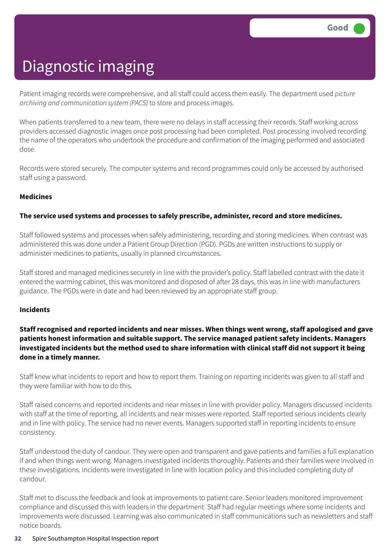Patient imaging records were comprehensive, and all staff could access them easily. The department used *picture archiving and communication system (PACS)* to store and process images.

When patients transferred to a new team, there were no delays in staff accessing their records. Staff working across providers accessed diagnostic images once post processing had been completed. Post processing involved recording the name of the operators who undertook the procedure and confirmation of the imaging performed and associated dose.

Records were stored securely. The computer systems and record programmes could only be accessed by authorised staff using a password.

#### **Medicines**

#### **The service used systems and processes to safely prescribe, administer, record and store medicines.**

Staff followed systems and processes when safely administering, recording and storing medicines. When contrast was administered this was done under a Patient Group Direction (PGD). PGDs are written instructions to supply or administer medicines to patients, usually in planned circumstances.

Staff stored and managed medicines securely in line with the provider's policy. Staff labelled contrast with the date it entered the warming cabinet, this was monitored and disposed of after 28 days, this was in line with manufacturers guidance. The PGDs were in date and had been reviewed by an appropriate staff group.

#### **Incidents**

#### **Staff recognised and reported incidents and near misses. When things went wrong, staff apologised and gave patients honest information and suitable support. The service managed patient safety incidents. Managers** investigated incidents but the method used to share information with clinical staff did not support it being **done in a timely manner.**

Staff knew what incidents to report and how to report them. Training on reporting incidents was given to all staff and they were familiar with how to do this.

Staff raised concerns and reported incidents and near misses in line with provider policy. Managers discussed incidents with staff at the time of reporting, all incidents and near misses were reported. Staff reported serious incidents clearly and in line with policy. The service had no never events. Managers supported staff in reporting incidents to ensure consistency.

Staff understood the duty of candour. They were open and transparent and gave patients and families a full explanation if and when things went wrong. Managers investigated incidents thoroughly. Patients and their families were involved in these investigations. Incidents were investigated in line with location policy and this included completing duty of candour.

Staff met to discuss the feedback and look at improvements to patient care. Senior leaders monitored improvement compliance and discussed this with leaders in the department. Staff had regular meetings where some incidents and improvements were discussed. Learning was also communicated in staff communications such as newsletters and staff notice boards.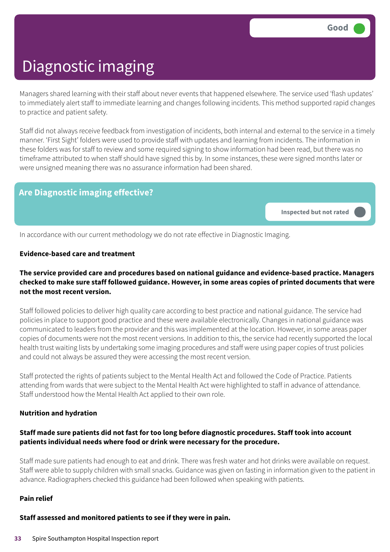Managers shared learning with their staff about never events that happened elsewhere. The service used 'flash updates' to immediately alert staff to immediate learning and changes following incidents. This method supported rapid changes to practice and patient safety.

Staff did not always receive feedback from investigation of incidents, both internal and external to the service in a timely manner. 'First Sight' folders were used to provide staff with updates and learning from incidents. The information in these folders was for staff to review and some required signing to show information had been read, but there was no timeframe attributed to when staff should have signed this by. In some instances, these were signed months later or were unsigned meaning there was no assurance information had been shared.

### **Are Diagnostic imaging effective?**

**Inspected but not rated –––**

In accordance with our current methodology we do not rate effective in Diagnostic Imaging.

#### **Evidence-based care and treatment**

#### **The service provided care and procedures based on national guidance and evidence-based practice. Managers** checked to make sure staff followed guidance. However, in some areas copies of printed documents that were **not the most recent version.**

Staff followed policies to deliver high quality care according to best practice and national guidance. The service had policies in place to support good practice and these were available electronically. Changes in national guidance was communicated to leaders from the provider and this was implemented at the location. However, in some areas paper copies of documents were not the most recent versions. In addition to this, the service had recently supported the local health trust waiting lists by undertaking some imaging procedures and staff were using paper copies of trust policies and could not always be assured they were accessing the most recent version.

Staff protected the rights of patients subject to the Mental Health Act and followed the Code of Practice. Patients attending from wards that were subject to the Mental Health Act were highlighted to staff in advance of attendance. Staff understood how the Mental Health Act applied to their own role.

#### **Nutrition and hydration**

#### **Staff made sure patients did not fast for too long before diagnostic procedures. Staff took into account patients individual needs where food or drink were necessary for the procedure.**

Staff made sure patients had enough to eat and drink. There was fresh water and hot drinks were available on request. Staff were able to supply children with small snacks. Guidance was given on fasting in information given to the patient in advance. Radiographers checked this guidance had been followed when speaking with patients.

#### **Pain relief**

#### **Staff assessed and monitored patients to see if they were in pain.**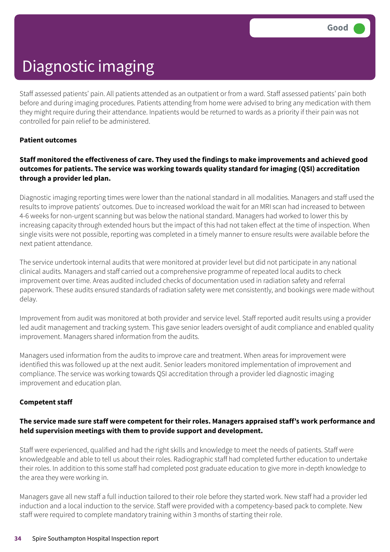Staff assessed patients' pain. All patients attended as an outpatient or from a ward. Staff assessed patients' pain both before and during imaging procedures. Patients attending from home were advised to bring any medication with them they might require during their attendance. Inpatients would be returned to wards as a priority if their pain was not controlled for pain relief to be administered.

#### **Patient outcomes**

### **Staff monitored the effectiveness of care. They used the findings to make improvements and achieved good outcomes for patients. The service was working towards quality standard for imaging (QSI) accreditation through a provider led plan.**

Diagnostic imaging reporting times were lower than the national standard in all modalities. Managers and staff used the results to improve patients' outcomes. Due to increased workload the wait for an MRI scan had increased to between 4-6 weeks for non-urgent scanning but was below the national standard. Managers had worked to lower this by increasing capacity through extended hours but the impact of this had not taken effect at the time of inspection. When single visits were not possible, reporting was completed in a timely manner to ensure results were available before the next patient attendance.

The service undertook internal audits that were monitored at provider level but did not participate in any national clinical audits. Managers and staff carried out a comprehensive programme of repeated local audits to check improvement over time. Areas audited included checks of documentation used in radiation safety and referral paperwork. These audits ensured standards of radiation safety were met consistently, and bookings were made without delay.

Improvement from audit was monitored at both provider and service level. Staff reported audit results using a provider led audit management and tracking system. This gave senior leaders oversight of audit compliance and enabled quality improvement. Managers shared information from the audits.

Managers used information from the audits to improve care and treatment. When areas for improvement were identified this was followed up at the next audit. Senior leaders monitored implementation of improvement and compliance. The service was working towards QSI accreditation through a provider led diagnostic imaging improvement and education plan.

#### **Competent staff**

#### **The service made sure staff were competent for their roles. Managers appraised staff's work performance and held supervision meetings with them to provide support and development.**

Staff were experienced, qualified and had the right skills and knowledge to meet the needs of patients. Staff were knowledgeable and able to tell us about their roles. Radiographic staff had completed further education to undertake their roles. In addition to this some staff had completed post graduate education to give more in-depth knowledge to the area they were working in.

Managers gave all new staff a full induction tailored to their role before they started work. New staff had a provider led induction and a local induction to the service. Staff were provided with a competency-based pack to complete. New staff were required to complete mandatory training within 3 months of starting their role.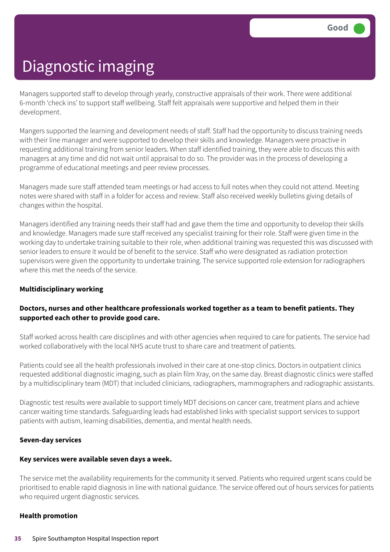Managers supported staff to develop through yearly, constructive appraisals of their work. There were additional 6-month 'check ins' to support staff wellbeing. Staff felt appraisals were supportive and helped them in their development.

Mangers supported the learning and development needs of staff. Staff had the opportunity to discuss training needs with their line manager and were supported to develop their skills and knowledge. Managers were proactive in requesting additional training from senior leaders. When staff identified training, they were able to discuss this with managers at any time and did not wait until appraisal to do so. The provider was in the process of developing a programme of educational meetings and peer review processes.

Managers made sure staff attended team meetings or had access to full notes when they could not attend. Meeting notes were shared with staff in a folder for access and review. Staff also received weekly bulletins giving details of changes within the hospital.

Managers identified any training needs their staff had and gave them the time and opportunity to develop their skills and knowledge. Managers made sure staff received any specialist training for their role. Staff were given time in the working day to undertake training suitable to their role, when additional training was requested this was discussed with senior leaders to ensure it would be of benefit to the service. Staff who were designated as radiation protection supervisors were given the opportunity to undertake training. The service supported role extension for radiographers where this met the needs of the service.

#### **Multidisciplinary working**

#### **Doctors, nurses and other healthcare professionals worked together as a team to benefit patients. They supported each other to provide good care.**

Staff worked across health care disciplines and with other agencies when required to care for patients. The service had worked collaboratively with the local NHS acute trust to share care and treatment of patients.

Patients could see all the health professionals involved in their care at one-stop clinics. Doctors in outpatient clinics requested additional diagnostic imaging, such as plain film Xray, on the same day. Breast diagnostic clinics were staffed by a multidisciplinary team (MDT) that included clinicians, radiographers, mammographers and radiographic assistants.

Diagnostic test results were available to support timely MDT decisions on cancer care, treatment plans and achieve cancer waiting time standards. Safeguarding leads had established links with specialist support services to support patients with autism, learning disabilities, dementia, and mental health needs.

#### **Seven-day services**

#### **Key services were available seven days a week.**

The service met the availability requirements for the community it served. Patients who required urgent scans could be prioritised to enable rapid diagnosis in line with national guidance. The service offered out of hours services for patients who required urgent diagnostic services.

#### **Health promotion**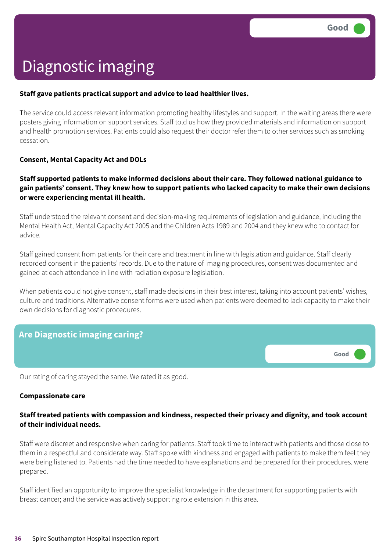#### **Staff gave patients practical support and advice to lead healthier lives.**

The service could access relevant information promoting healthy lifestyles and support. In the waiting areas there were posters giving information on support services. Staff told us how they provided materials and information on support and health promotion services. Patients could also request their doctor refer them to other services such as smoking cessation.

#### **Consent, Mental Capacity Act and DOLs**

#### **Staff supported patients to make informed decisions about their care. They followed national guidance to gain patients' consent. They knew how to support patients who lacked capacity to make their own decisions or were experiencing mental ill health.**

Staff understood the relevant consent and decision-making requirements of legislation and guidance, including the Mental Health Act, Mental Capacity Act 2005 and the Children Acts 1989 and 2004 and they knew who to contact for advice.

Staff gained consent from patients for their care and treatment in line with legislation and guidance. Staff clearly recorded consent in the patients' records. Due to the nature of imaging procedures, consent was documented and gained at each attendance in line with radiation exposure legislation.

When patients could not give consent, staff made decisions in their best interest, taking into account patients' wishes, culture and traditions. Alternative consent forms were used when patients were deemed to lack capacity to make their own decisions for diagnostic procedures.



Our rating of caring stayed the same. We rated it as good.

#### **Compassionate care**

#### **Staff treated patients with compassion and kindness, respected their privacy and dignity, and took account of their individual needs.**

Staff were discreet and responsive when caring for patients. Staff took time to interact with patients and those close to them in a respectful and considerate way. Staff spoke with kindness and engaged with patients to make them feel they were being listened to. Patients had the time needed to have explanations and be prepared for their procedures. were prepared.

Staff identified an opportunity to improve the specialist knowledge in the department for supporting patients with breast cancer; and the service was actively supporting role extension in this area.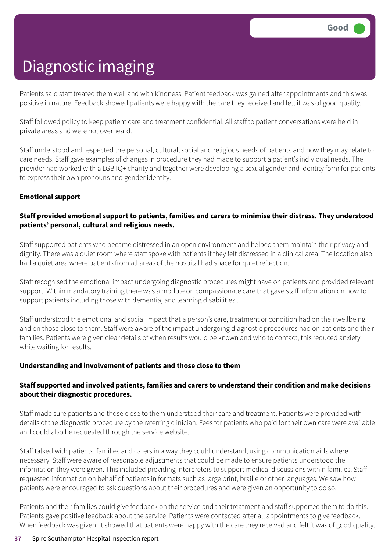Patients said staff treated them well and with kindness. Patient feedback was gained after appointments and this was positive in nature. Feedback showed patients were happy with the care they received and felt it was of good quality.

Staff followed policy to keep patient care and treatment confidential. All staff to patient conversations were held in private areas and were not overheard.

Staff understood and respected the personal, cultural, social and religious needs of patients and how they may relate to care needs. Staff gave examples of changes in procedure they had made to support a patient's individual needs. The provider had worked with a LGBTQ+ charity and together were developing a sexual gender and identity form for patients to express their own pronouns and gender identity.

#### **Emotional support**

### **Staff provided emotional support to patients, families and carers to minimise their distress. They understood patients' personal, cultural and religious needs.**

Staff supported patients who became distressed in an open environment and helped them maintain their privacy and dignity. There was a quiet room where staff spoke with patients if they felt distressed in a clinical area. The location also had a quiet area where patients from all areas of the hospital had space for quiet reflection.

Staff recognised the emotional impact undergoing diagnostic procedures might have on patients and provided relevant support. Within mandatory training there was a module on compassionate care that gave staff information on how to support patients including those with dementia, and learning disabilities .

Staff understood the emotional and social impact that a person's care, treatment or condition had on their wellbeing and on those close to them. Staff were aware of the impact undergoing diagnostic procedures had on patients and their families. Patients were given clear details of when results would be known and who to contact, this reduced anxiety while waiting for results.

#### **Understanding and involvement of patients and those close to them**

### **Staff supported and involved patients, families and carers to understand their condition and make decisions about their diagnostic procedures.**

Staff made sure patients and those close to them understood their care and treatment. Patients were provided with details of the diagnostic procedure by the referring clinician. Fees for patients who paid for their own care were available and could also be requested through the service website.

Staff talked with patients, families and carers in a way they could understand, using communication aids where necessary. Staff were aware of reasonable adjustments that could be made to ensure patients understood the information they were given. This included providing interpreters to support medical discussions within families. Staff requested information on behalf of patients in formats such as large print, braille or other languages. We saw how patients were encouraged to ask questions about their procedures and were given an opportunity to do so.

Patients and their families could give feedback on the service and their treatment and staff supported them to do this. Patients gave positive feedback about the service. Patients were contacted after all appointments to give feedback. When feedback was given, it showed that patients were happy with the care they received and felt it was of good quality.

#### **37** Spire Southampton Hospital Inspection report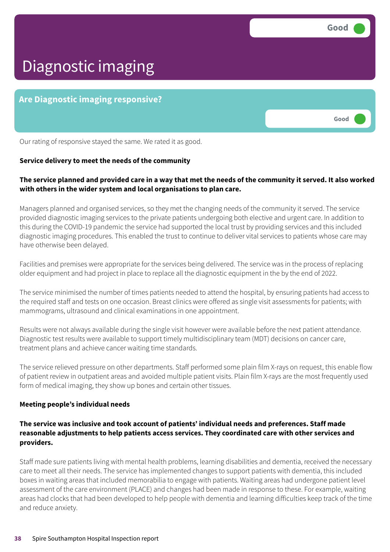**Good –––**

# Diagnostic imaging

### **Are Diagnostic imaging responsive?**

Our rating of responsive stayed the same. We rated it as good.

#### **Service delivery to meet the needs of the community**

#### The service planned and provided care in a way that met the needs of the community it served. It also worked **with others in the wider system and local organisations to plan care.**

Managers planned and organised services, so they met the changing needs of the community it served. The service provided diagnostic imaging services to the private patients undergoing both elective and urgent care. In addition to this during the COVID-19 pandemic the service had supported the local trust by providing services and this included diagnostic imaging procedures. This enabled the trust to continue to deliver vital services to patients whose care may have otherwise been delayed.

Facilities and premises were appropriate for the services being delivered. The service was in the process of replacing older equipment and had project in place to replace all the diagnostic equipment in the by the end of 2022.

The service minimised the number of times patients needed to attend the hospital, by ensuring patients had access to the required staff and tests on one occasion. Breast clinics were offered as single visit assessments for patients; with mammograms, ultrasound and clinical examinations in one appointment.

Results were not always available during the single visit however were available before the next patient attendance. Diagnostic test results were available to support timely multidisciplinary team (MDT) decisions on cancer care, treatment plans and achieve cancer waiting time standards.

The service relieved pressure on other departments. Staff performed some plain film X-rays on request, this enable flow of patient review in outpatient areas and avoided multiple patient visits. Plain film X-rays are the most frequently used form of medical imaging, they show up bones and certain other tissues.

#### **Meeting people's individual needs**

#### **The service was inclusive and took account of patients' individual needs and preferences. Staff made reasonable adjustments to help patients access services. They coordinated care with other services and providers.**

Staff made sure patients living with mental health problems, learning disabilities and dementia, received the necessary care to meet all their needs. The service has implemented changes to support patients with dementia, this included boxes in waiting areas that included memorabilia to engage with patients. Waiting areas had undergone patient level assessment of the care environment (PLACE) and changes had been made in response to these. For example, waiting areas had clocks that had been developed to help people with dementia and learning difficulties keep track of the time and reduce anxiety.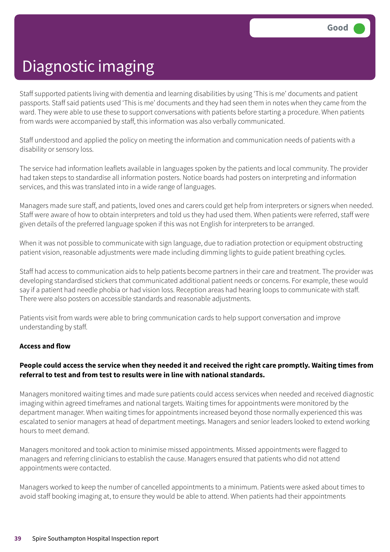Staff supported patients living with dementia and learning disabilities by using 'This is me' documents and patient passports. Staff said patients used 'This is me' documents and they had seen them in notes when they came from the ward. They were able to use these to support conversations with patients before starting a procedure. When patients from wards were accompanied by staff, this information was also verbally communicated.

Staff understood and applied the policy on meeting the information and communication needs of patients with a disability or sensory loss.

The service had information leaflets available in languages spoken by the patients and local community. The provider had taken steps to standardise all information posters. Notice boards had posters on interpreting and information services, and this was translated into in a wide range of languages.

Managers made sure staff, and patients, loved ones and carers could get help from interpreters or signers when needed. Staff were aware of how to obtain interpreters and told us they had used them. When patients were referred, staff were given details of the preferred language spoken if this was not English for interpreters to be arranged.

When it was not possible to communicate with sign language, due to radiation protection or equipment obstructing patient vision, reasonable adjustments were made including dimming lights to guide patient breathing cycles.

Staff had access to communication aids to help patients become partners in their care and treatment. The provider was developing standardised stickers that communicated additional patient needs or concerns. For example, these would say if a patient had needle phobia or had vision loss. Reception areas had hearing loops to communicate with staff. There were also posters on accessible standards and reasonable adjustments.

Patients visit from wards were able to bring communication cards to help support conversation and improve understanding by staff.

#### **Access and flow**

#### People could access the service when they needed it and received the right care promptly. Waiting times from **referral to test and from test to results were in line with national standards.**

Managers monitored waiting times and made sure patients could access services when needed and received diagnostic imaging within agreed timeframes and national targets. Waiting times for appointments were monitored by the department manager. When waiting times for appointments increased beyond those normally experienced this was escalated to senior managers at head of department meetings. Managers and senior leaders looked to extend working hours to meet demand.

Managers monitored and took action to minimise missed appointments. Missed appointments were flagged to managers and referring clinicians to establish the cause. Managers ensured that patients who did not attend appointments were contacted.

Managers worked to keep the number of cancelled appointments to a minimum. Patients were asked about times to avoid staff booking imaging at, to ensure they would be able to attend. When patients had their appointments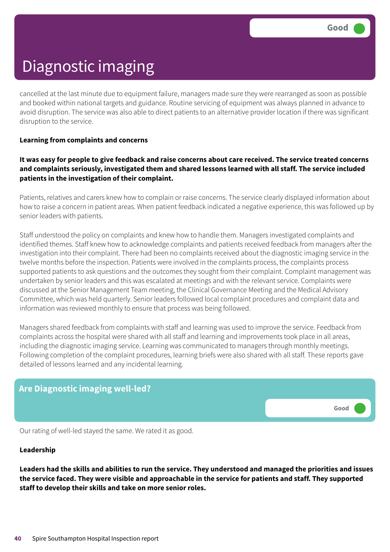cancelled at the last minute due to equipment failure, managers made sure they were rearranged as soon as possible and booked within national targets and guidance. Routine servicing of equipment was always planned in advance to avoid disruption. The service was also able to direct patients to an alternative provider location if there was significant disruption to the service.

#### **Learning from complaints and concerns**

#### It was easy for people to give feedback and raise concerns about care received. The service treated concerns **and complaints seriously, investigated them and shared lessons learned with all staff. The service included patients in the investigation of their complaint.**

Patients, relatives and carers knew how to complain or raise concerns. The service clearly displayed information about how to raise a concern in patient areas. When patient feedback indicated a negative experience, this was followed up by senior leaders with patients.

Staff understood the policy on complaints and knew how to handle them. Managers investigated complaints and identified themes. Staff knew how to acknowledge complaints and patients received feedback from managers after the investigation into their complaint. There had been no complaints received about the diagnostic imaging service in the twelve months before the inspection. Patients were involved in the complaints process, the complaints process supported patients to ask questions and the outcomes they sought from their complaint. Complaint management was undertaken by senior leaders and this was escalated at meetings and with the relevant service. Complaints were discussed at the Senior Management Team meeting, the Clinical Governance Meeting and the Medical Advisory Committee, which was held quarterly. Senior leaders followed local complaint procedures and complaint data and information was reviewed monthly to ensure that process was being followed.

Managers shared feedback from complaints with staff and learning was used to improve the service. Feedback from complaints across the hospital were shared with all staff and learning and improvements took place in all areas, including the diagnostic imaging service. Learning was communicated to managers through monthly meetings. Following completion of the complaint procedures, learning briefs were also shared with all staff. These reports gave detailed of lessons learned and any incidental learning.

# **Are Diagnostic imaging well-led? Good –––**

Our rating of well-led stayed the same. We rated it as good.

#### **Leadership**

Leaders had the skills and abilities to run the service. They understood and managed the priorities and issues the service faced. They were visible and approachable in the service for patients and staff. They supported **staff to develop their skills and take on more senior roles.**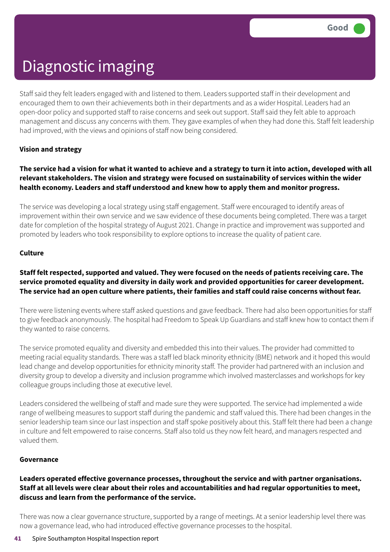Staff said they felt leaders engaged with and listened to them. Leaders supported staff in their development and encouraged them to own their achievements both in their departments and as a wider Hospital. Leaders had an open-door policy and supported staff to raise concerns and seek out support. Staff said they felt able to approach management and discuss any concerns with them. They gave examples of when they had done this. Staff felt leadership had improved, with the views and opinions of staff now being considered.

#### **Vision and strategy**

#### The service had a vision for what it wanted to achieve and a strategy to turn it into action, developed with all **relevant stakeholders. The vision and strategy were focused on sustainability of services within the wider health economy. Leaders and staff understood and knew how to apply them and monitor progress.**

The service was developing a local strategy using staff engagement. Staff were encouraged to identify areas of improvement within their own service and we saw evidence of these documents being completed. There was a target date for completion of the hospital strategy of August 2021. Change in practice and improvement was supported and promoted by leaders who took responsibility to explore options to increase the quality of patient care.

#### **Culture**

#### Staff felt respected, supported and valued. They were focused on the needs of patients receiving care. The **service promoted equality and diversity in daily work and provided opportunities for career development.** The service had an open culture where patients, their families and staff could raise concerns without fear.

There were listening events where staff asked questions and gave feedback. There had also been opportunities for staff to give feedback anonymously. The hospital had Freedom to Speak Up Guardians and staff knew how to contact them if they wanted to raise concerns.

The service promoted equality and diversity and embedded this into their values. The provider had committed to meeting racial equality standards. There was a staff led black minority ethnicity (BME) network and it hoped this would lead change and develop opportunities for ethnicity minority staff. The provider had partnered with an inclusion and diversity group to develop a diversity and inclusion programme which involved masterclasses and workshops for key colleague groups including those at executive level.

Leaders considered the wellbeing of staff and made sure they were supported. The service had implemented a wide range of wellbeing measures to support staff during the pandemic and staff valued this. There had been changes in the senior leadership team since our last inspection and staff spoke positively about this. Staff felt there had been a change in culture and felt empowered to raise concerns. Staff also told us they now felt heard, and managers respected and valued them.

#### **Governance**

#### **Leaders operated effective governance processes, throughout the service and with partner organisations.** Staff at all levels were clear about their roles and accountabilities and had regular opportunities to meet, **discuss and learn from the performance of the service.**

There was now a clear governance structure, supported by a range of meetings. At a senior leadership level there was now a governance lead, who had introduced effective governance processes to the hospital.

#### **41** Spire Southampton Hospital Inspection report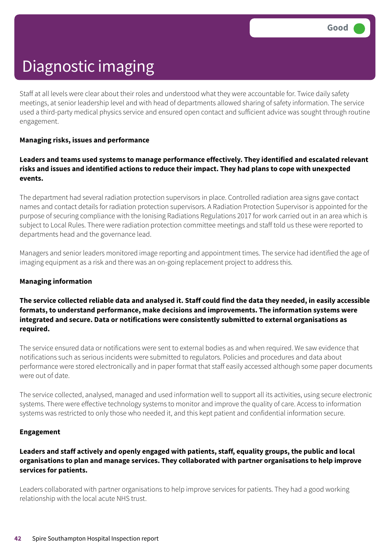Staff at all levels were clear about their roles and understood what they were accountable for. Twice daily safety meetings, at senior leadership level and with head of departments allowed sharing of safety information. The service used a third-party medical physics service and ensured open contact and sufficient advice was sought through routine engagement.

#### **Managing risks, issues and performance**

#### **Leaders and teams used systems to manage performance effectively. They identified and escalated relevant risks and issues and identified actions to reduce their impact. They had plans to cope with unexpected events.**

The department had several radiation protection supervisors in place. Controlled radiation area signs gave contact names and contact details for radiation protection supervisors. A Radiation Protection Supervisor is appointed for the purpose of securing compliance with the Ionising Radiations Regulations 2017 for work carried out in an area which is subject to Local Rules. There were radiation protection committee meetings and staff told us these were reported to departments head and the governance lead.

Managers and senior leaders monitored image reporting and appointment times. The service had identified the age of imaging equipment as a risk and there was an on-going replacement project to address this.

#### **Managing information**

#### The service collected reliable data and analysed it. Staff could find the data they needed, in easily accessible **formats, to understand performance, make decisions and improvements. The information systems were integrated and secure. Data or notifications were consistently submitted to external organisations as required.**

The service ensured data or notifications were sent to external bodies as and when required. We saw evidence that notifications such as serious incidents were submitted to regulators. Policies and procedures and data about performance were stored electronically and in paper format that staff easily accessed although some paper documents were out of date.

The service collected, analysed, managed and used information well to support all its activities, using secure electronic systems. There were effective technology systems to monitor and improve the quality of care. Access to information systems was restricted to only those who needed it, and this kept patient and confidential information secure.

#### **Engagement**

#### **Leaders and staff actively and openly engaged with patients, staff, equality groups, the public and local organisations to plan and manage services. They collaborated with partner organisations to help improve services for patients.**

Leaders collaborated with partner organisations to help improve services for patients. They had a good working relationship with the local acute NHS trust.